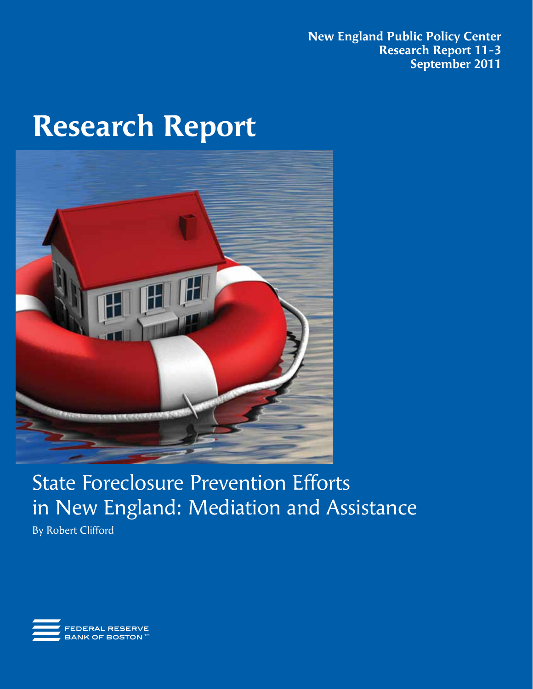**New England Public Policy Center Research Report 11-3 September 2011**

# **Research Report**



# State Foreclosure Prevention Efforts in New England: Mediation and Assistance

By Robert Clifford

FEDERAL RESERVE **BANK OF BOSTON™**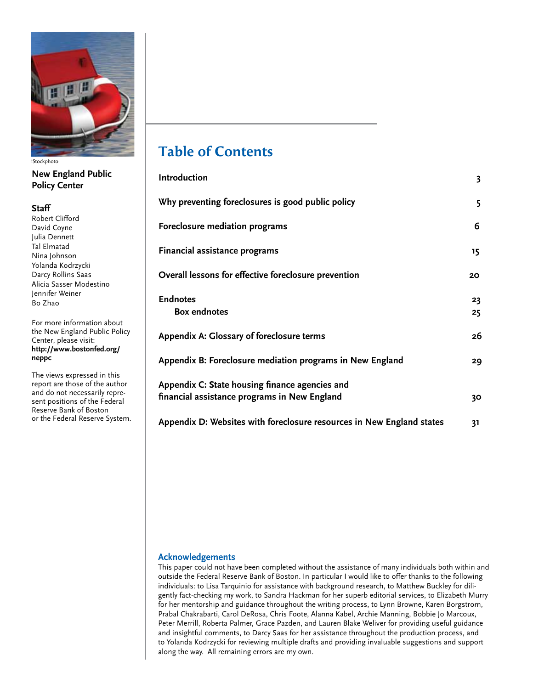

iStockphoto

# **New England Public Policy Center**

#### **Staff**

Robert Clifford David Coyne Julia Dennett Tal Elmatad Nina Johnson Yolanda Kodrzycki Darcy Rollins Saas Alicia Sasser Modestino Jennifer Weiner Bo Zhao

For more information about the New England Public Policy Center, please visit: **http://www.bostonfed.org/ neppc**

The views expressed in this report are those of the author and do not necessarily represent positions of the Federal Reserve Bank of Boston or the Federal Reserve System.

# **Table of Contents**

| Introduction                                                                                   | 3        |
|------------------------------------------------------------------------------------------------|----------|
| Why preventing foreclosures is good public policy                                              | 5        |
| Foreclosure mediation programs                                                                 | 6        |
| Financial assistance programs                                                                  | 15       |
| Overall lessons for effective foreclosure prevention                                           | 20       |
| <b>Endnotes</b><br><b>Box endnotes</b>                                                         | 23<br>25 |
| Appendix A: Glossary of foreclosure terms                                                      | 26       |
| Appendix B: Foreclosure mediation programs in New England                                      | 29       |
| Appendix C: State housing finance agencies and<br>financial assistance programs in New England | 30       |
| Appendix D: Websites with foreclosure resources in New England states                          | 31       |

#### **Acknowledgements**

This paper could not have been completed without the assistance of many individuals both within and outside the Federal Reserve Bank of Boston. In particular I would like to offer thanks to the following individuals: to Lisa Tarquinio for assistance with background research, to Matthew Buckley for diligently fact-checking my work, to Sandra Hackman for her superb editorial services, to Elizabeth Murry for her mentorship and guidance throughout the writing process, to Lynn Browne, Karen Borgstrom, Prabal Chakrabarti, Carol DeRosa, Chris Foote, Alanna Kabel, Archie Manning, Bobbie Jo Marcoux, Peter Merrill, Roberta Palmer, Grace Pazden, and Lauren Blake Weliver for providing useful guidance and insightful comments, to Darcy Saas for her assistance throughout the production process, and to Yolanda Kodrzycki for reviewing multiple drafts and providing invaluable suggestions and support along the way. All remaining errors are my own.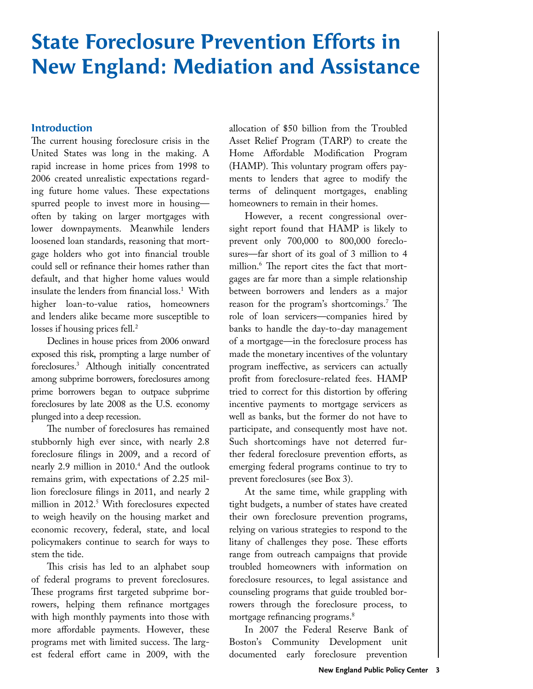# **State Foreclosure Prevention Efforts in New England: Mediation and Assistance**

#### **Introduction**

The current housing foreclosure crisis in the United States was long in the making. A rapid increase in home prices from 1998 to 2006 created unrealistic expectations regarding future home values. These expectations spurred people to invest more in housing often by taking on larger mortgages with lower downpayments. Meanwhile lenders loosened loan standards, reasoning that mortgage holders who got into financial trouble could sell or refinance their homes rather than default, and that higher home values would insulate the lenders from financial loss.<sup>1</sup> With higher loan-to-value ratios, homeowners and lenders alike became more susceptible to losses if housing prices fell.<sup>2</sup>

Declines in house prices from 2006 onward exposed this risk, prompting a large number of foreclosures.3 Although initially concentrated among subprime borrowers, foreclosures among prime borrowers began to outpace subprime foreclosures by late 2008 as the U.S. economy plunged into a deep recession.

The number of foreclosures has remained stubbornly high ever since, with nearly 2.8 foreclosure filings in 2009, and a record of nearly 2.9 million in 2010.4 And the outlook remains grim, with expectations of 2.25 million foreclosure filings in 2011, and nearly 2 million in 2012.<sup>5</sup> With foreclosures expected to weigh heavily on the housing market and economic recovery, federal, state, and local policymakers continue to search for ways to stem the tide.

This crisis has led to an alphabet soup of federal programs to prevent foreclosures. These programs first targeted subprime borrowers, helping them refinance mortgages with high monthly payments into those with more affordable payments. However, these programs met with limited success. The largest federal effort came in 2009, with the allocation of \$50 billion from the Troubled Asset Relief Program (TARP) to create the Home Affordable Modification Program (HAMP). This voluntary program offers payments to lenders that agree to modify the terms of delinquent mortgages, enabling homeowners to remain in their homes.

However, a recent congressional oversight report found that HAMP is likely to prevent only 700,000 to 800,000 foreclosures—far short of its goal of 3 million to 4 million.6 The report cites the fact that mortgages are far more than a simple relationship between borrowers and lenders as a major reason for the program's shortcomings.<sup>7</sup> The role of loan servicers—companies hired by banks to handle the day-to-day management of a mortgage—in the foreclosure process has made the monetary incentives of the voluntary program ineffective, as servicers can actually profit from foreclosure-related fees. HAMP tried to correct for this distortion by offering incentive payments to mortgage servicers as well as banks, but the former do not have to participate, and consequently most have not. Such shortcomings have not deterred further federal foreclosure prevention efforts, as emerging federal programs continue to try to prevent foreclosures (see Box 3).

At the same time, while grappling with tight budgets, a number of states have created their own foreclosure prevention programs, relying on various strategies to respond to the litany of challenges they pose. These efforts range from outreach campaigns that provide troubled homeowners with information on foreclosure resources, to legal assistance and counseling programs that guide troubled borrowers through the foreclosure process, to mortgage refinancing programs.<sup>8</sup>

In 2007 the Federal Reserve Bank of Boston's Community Development unit documented early foreclosure prevention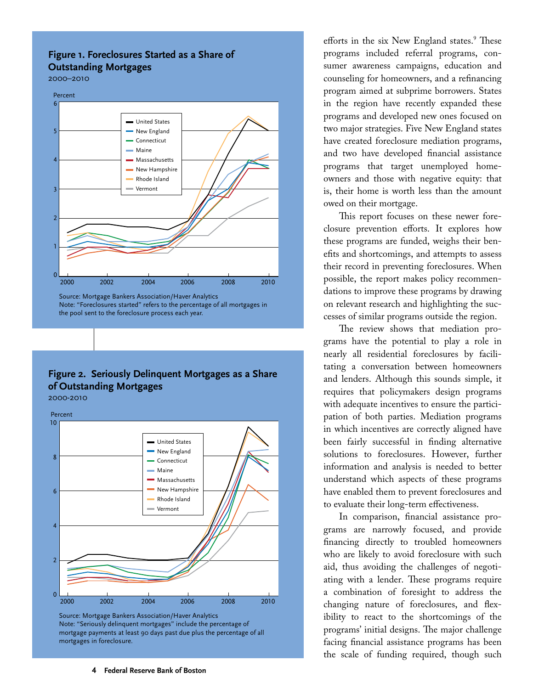# **Figure 1. Foreclosures Started as a Share of Outstanding Mortgages**

2000–2010



Source: Mortgage Bankers Association/Haver Analytics Note: "Foreclosures started" refers to the percentage of all mortgages in the pool sent to the foreclosure process each year.

# **Figure 2. Seriously Delinquent Mortgages as a Share of Outstanding Mortgages**

2000-2010



Source: Mortgage Bankers Association/Haver Analytics Note: "Seriously delinquent mortgages" include the percentage of mortgage payments at least 90 days past due plus the percentage of all mortgages in foreclosure.

efforts in the six New England states.<sup>9</sup> These programs included referral programs, consumer awareness campaigns, education and counseling for homeowners, and a refinancing program aimed at subprime borrowers. States in the region have recently expanded these programs and developed new ones focused on two major strategies. Five New England states have created foreclosure mediation programs, and two have developed financial assistance programs that target unemployed homeowners and those with negative equity: that is, their home is worth less than the amount owed on their mortgage.

This report focuses on these newer foreclosure prevention efforts. It explores how these programs are funded, weighs their benefits and shortcomings, and attempts to assess their record in preventing foreclosures. When possible, the report makes policy recommendations to improve these programs by drawing on relevant research and highlighting the successes of similar programs outside the region.

The review shows that mediation programs have the potential to play a role in nearly all residential foreclosures by facilitating a conversation between homeowners and lenders. Although this sounds simple, it requires that policymakers design programs with adequate incentives to ensure the participation of both parties. Mediation programs in which incentives are correctly aligned have been fairly successful in finding alternative solutions to foreclosures. However, further information and analysis is needed to better understand which aspects of these programs have enabled them to prevent foreclosures and to evaluate their long-term effectiveness.

In comparison, financial assistance programs are narrowly focused, and provide financing directly to troubled homeowners who are likely to avoid foreclosure with such aid, thus avoiding the challenges of negotiating with a lender. These programs require a combination of foresight to address the changing nature of foreclosures, and flexibility to react to the shortcomings of the programs' initial designs. The major challenge facing financial assistance programs has been the scale of funding required, though such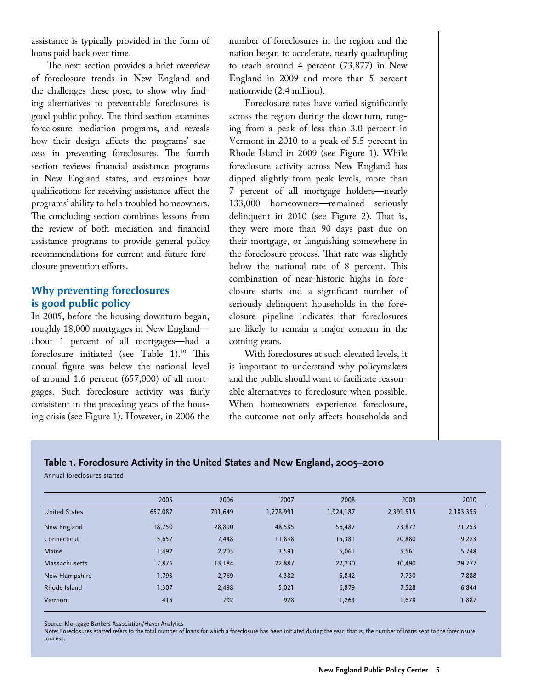assistance is typically provided in the form of loans paid back over time.

The next section provides a brief overview of foreclosure trends in New England and the challenges these pose, to show why finding alternatives to preventable foreclosures is good public policy. The third section examines foreclosure mediation programs, and reveals how their design affects the programs' success in preventing foreclosures. The fourth section reviews financial assistance programs in New England states, and examines how qualifications for receiving assistance affect the programs' ability to help troubled homeowners. The concluding section combines lessons from the review of both mediation and financial assistance programs to provide general policy recommendations for current and future foreclosure prevention efforts.

#### **Why preventing foreclosures is good public policy**

In 2005, before the housing downturn began, roughly 18,000 mortgages in New England about 1 percent of all mortgages—had a foreclosure initiated (see Table 1).10 This annual figure was below the national level of around 1.6 percent (657,000) of all mortgages. Such foreclosure activity was fairly consistent in the preceding years of the housing crisis (see Figure 1). However, in 2006 the

number of foreclosures in the region and the nation began to accelerate, nearly quadrupling to reach around 4 percent (73,877) in New England in 2009 and more than 5 percent nationwide (2.4 million).

Foreclosure rates have varied significantly across the region during the downturn, ranging from a peak of less than 3.0 percent in Vermont in 2010 to a peak of 5.5 percent in Rhode Island in 2009 (see Figure 1). While foreclosure activity across New England has dipped slightly from peak levels, more than 7 percent of all mortgage holders—nearly 133,000 homeowners—remained seriously delinquent in 2010 (see Figure 2). That is, they were more than 90 days past due on their mortgage, or languishing somewhere in the foreclosure process. That rate was slightly below the national rate of 8 percent. This combination of near-historic highs in foreclosure starts and a significant number of seriously delinquent households in the foreclosure pipeline indicates that foreclosures are likely to remain a major concern in the coming years.

With foreclosures at such elevated levels, it is important to understand why policymakers and the public should want to facilitate reasonable alternatives to foreclosure when possible. When homeowners experience foreclosure, the outcome not only affects households and

#### **Table 1. Foreclosure Activity in the United States and New England, 2005–2010**

Annual foreclosures started

|                      | 2005    | 2006    | 2007      | 2008      | 2009      | 2010      |
|----------------------|---------|---------|-----------|-----------|-----------|-----------|
| <b>United States</b> | 657,087 | 791,649 | 1,278,991 | 1,924,187 | 2,391,515 | 2,183,355 |
| New England          | 18.750  | 28,890  | 48,585    | 56,487    | 73,877    | 71,253    |
| Connecticut          | 5,657   | 7,448   | 11,838    | 15,381    | 20,880    | 19,223    |
| Maine                | 1,492   | 2,205   | 3,591     | 5,061     | 5,561     | 5,748     |
| Massachusetts        | 7,876   | 13,184  | 22,887    | 22,230    | 30,490    | 29,777    |
| New Hampshire        | 1,793   | 2,769   | 4,382     | 5,842     | 7,730     | 7,888     |
| Rhode Island         | 1,307   | 2,498   | 5,021     | 6,879     | 7,528     | 6,844     |
| Vermont              | 415     | 792     | 928       | 1,263     | 1,678     | 1,887     |

Source: Mortgage Bankers Association/Haver Analytics

Note: Foreclosures started refers to the total number of loans for which a foreclosure has been initiated during the year, that is, the number of loans sent to the foreclosure process.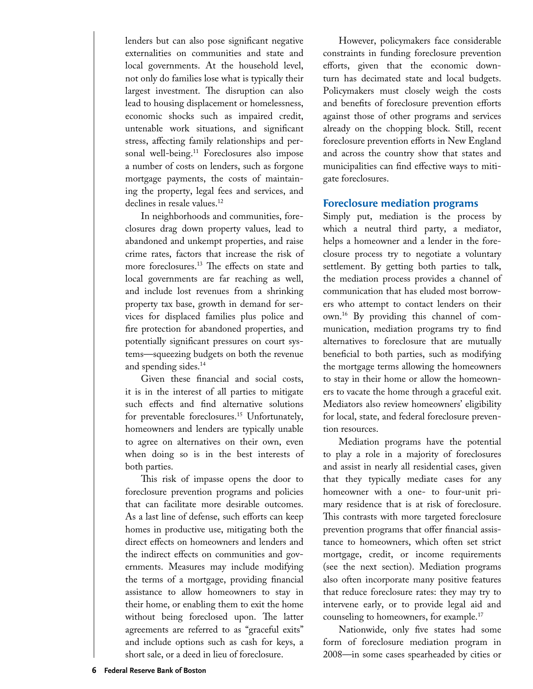lenders but can also pose significant negative externalities on communities and state and local governments. At the household level, not only do families lose what is typically their largest investment. The disruption can also lead to housing displacement or homelessness, economic shocks such as impaired credit, untenable work situations, and significant stress, affecting family relationships and personal well-being.<sup>11</sup> Foreclosures also impose a number of costs on lenders, such as forgone mortgage payments, the costs of maintaining the property, legal fees and services, and declines in resale values.<sup>12</sup>

In neighborhoods and communities, foreclosures drag down property values, lead to abandoned and unkempt properties, and raise crime rates, factors that increase the risk of more foreclosures.13 The effects on state and local governments are far reaching as well, and include lost revenues from a shrinking property tax base, growth in demand for services for displaced families plus police and fire protection for abandoned properties, and potentially significant pressures on court systems—squeezing budgets on both the revenue and spending sides.<sup>14</sup>

Given these financial and social costs, it is in the interest of all parties to mitigate such effects and find alternative solutions for preventable foreclosures.15 Unfortunately, homeowners and lenders are typically unable to agree on alternatives on their own, even when doing so is in the best interests of both parties.

This risk of impasse opens the door to foreclosure prevention programs and policies that can facilitate more desirable outcomes. As a last line of defense, such efforts can keep homes in productive use, mitigating both the direct effects on homeowners and lenders and the indirect effects on communities and governments. Measures may include modifying the terms of a mortgage, providing financial assistance to allow homeowners to stay in their home, or enabling them to exit the home without being foreclosed upon. The latter agreements are referred to as "graceful exits" and include options such as cash for keys, a short sale, or a deed in lieu of foreclosure.

However, policymakers face considerable constraints in funding foreclosure prevention efforts, given that the economic downturn has decimated state and local budgets. Policymakers must closely weigh the costs and benefits of foreclosure prevention efforts against those of other programs and services already on the chopping block. Still, recent foreclosure prevention efforts in New England and across the country show that states and municipalities can find effective ways to mitigate foreclosures.

#### **Foreclosure mediation programs**

Simply put, mediation is the process by which a neutral third party, a mediator, helps a homeowner and a lender in the foreclosure process try to negotiate a voluntary settlement. By getting both parties to talk, the mediation process provides a channel of communication that has eluded most borrowers who attempt to contact lenders on their own.16 By providing this channel of communication, mediation programs try to find alternatives to foreclosure that are mutually beneficial to both parties, such as modifying the mortgage terms allowing the homeowners to stay in their home or allow the homeowners to vacate the home through a graceful exit. Mediators also review homeowners' eligibility for local, state, and federal foreclosure prevention resources.

Mediation programs have the potential to play a role in a majority of foreclosures and assist in nearly all residential cases, given that they typically mediate cases for any homeowner with a one- to four-unit primary residence that is at risk of foreclosure. This contrasts with more targeted foreclosure prevention programs that offer financial assistance to homeowners, which often set strict mortgage, credit, or income requirements (see the next section). Mediation programs also often incorporate many positive features that reduce foreclosure rates: they may try to intervene early, or to provide legal aid and counseling to homeowners, for example.17

Nationwide, only five states had some form of foreclosure mediation program in 2008—in some cases spearheaded by cities or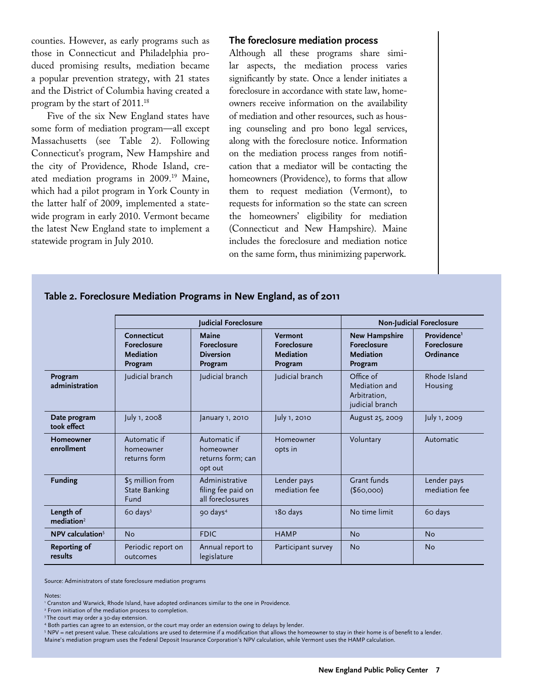counties. However, as early programs such as those in Connecticut and Philadelphia produced promising results, mediation became a popular prevention strategy, with 21 states and the District of Columbia having created a program by the start of 2011.18

Five of the six New England states have some form of mediation program—all except Massachusetts (see Table 2). Following Connecticut's program, New Hampshire and the city of Providence, Rhode Island, created mediation programs in 2009.19 Maine, which had a pilot program in York County in the latter half of 2009, implemented a statewide program in early 2010. Vermont became the latest New England state to implement a statewide program in July 2010.

#### **The foreclosure mediation process**

Although all these programs share similar aspects, the mediation process varies significantly by state. Once a lender initiates a foreclosure in accordance with state law, homeowners receive information on the availability of mediation and other resources, such as housing counseling and pro bono legal services, along with the foreclosure notice. Information on the mediation process ranges from notification that a mediator will be contacting the homeowners (Providence), to forms that allow them to request mediation (Vermont), to requests for information so the state can screen the homeowners' eligibility for mediation (Connecticut and New Hampshire). Maine includes the foreclosure and mediation notice on the same form, thus minimizing paperwork.

|                                  | Judicial Foreclosure                                      |                                                            |                                                       | <b>Non-Judicial Foreclosure</b>                                    |                                                            |
|----------------------------------|-----------------------------------------------------------|------------------------------------------------------------|-------------------------------------------------------|--------------------------------------------------------------------|------------------------------------------------------------|
|                                  | Connecticut<br><b>Foreclosure</b><br>Mediation<br>Program | Maine<br><b>Foreclosure</b><br><b>Diversion</b><br>Program | Vermont<br><b>Foreclosure</b><br>Mediation<br>Program | <b>New Hampshire</b><br><b>Foreclosure</b><br>Mediation<br>Program | Providence <sup>1</sup><br><b>Foreclosure</b><br>Ordinance |
| Program<br>administration        | Judicial branch                                           | Judicial branch                                            | Judicial branch                                       | Office of<br>Mediation and<br>Arbitration.<br>judicial branch      | Rhode Island<br>Housing                                    |
| Date program<br>took effect      | July 1, 2008                                              | January 1, 2010                                            | July 1, 2010                                          | August 25, 2009                                                    | July 1, 2009                                               |
| Homeowner<br>enrollment          | Automatic if<br>homeowner<br>returns form                 | Automatic if<br>homeowner<br>returns form; can<br>opt out  | Homeowner<br>opts in                                  | Voluntary                                                          | Automatic                                                  |
| <b>Funding</b>                   | \$5 million from<br><b>State Banking</b><br>Fund          | Administrative<br>filing fee paid on<br>all foreclosures   | Lender pays<br>mediation fee                          | Grant funds<br>(\$60,000)                                          | Lender pays<br>mediation fee                               |
| Length of<br>median <sup>2</sup> | $60 \text{ days}^3$                                       | 90 days <sup>4</sup>                                       | 180 days                                              | No time limit                                                      | 60 days                                                    |
| NPV calculation $5$              | <b>No</b>                                                 | <b>FDIC</b>                                                | <b>HAMP</b>                                           | <b>No</b>                                                          | <b>No</b>                                                  |
| <b>Reporting of</b><br>results   | Periodic report on<br>outcomes                            | Annual report to<br>legislature                            | Participant survey                                    | <b>No</b>                                                          | <b>No</b>                                                  |

#### **Table 2. Foreclosure Mediation Programs in New England, as of 2011**

Source: Administrators of state foreclosure mediation programs

Notes:

i<br>I

2 From initiation of the mediation process to completion.

<sup>3</sup> The court may order a 30-day extension.

<sup>1</sup> Cranston and Warwick, Rhode Island, have adopted ordinances similar to the one in Providence.

<sup>4</sup> Both parties can agree to an extension, or the court may order an extension owing to delays by lender.

 $5$  NPV = net present value. These calculations are used to determine if a modification that allows the homeowner to stay in their home is of benefit to a lender. Maine's mediation program uses the Federal Deposit Insurance Corporation's NPV calculation, while Vermont uses the HAMP calculation.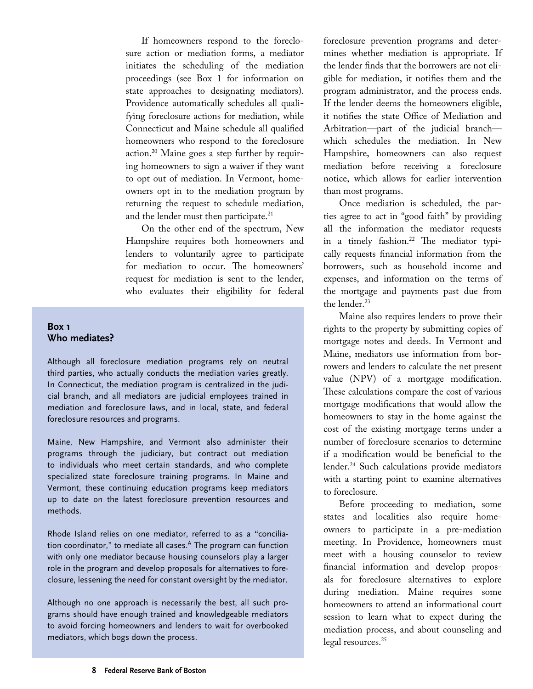If homeowners respond to the foreclosure action or mediation forms, a mediator initiates the scheduling of the mediation proceedings (see Box 1 for information on state approaches to designating mediators). Providence automatically schedules all qualifying foreclosure actions for mediation, while Connecticut and Maine schedule all qualified homeowners who respond to the foreclosure action.20 Maine goes a step further by requiring homeowners to sign a waiver if they want to opt out of mediation. In Vermont, homeowners opt in to the mediation program by returning the request to schedule mediation, and the lender must then participate.<sup>21</sup>

On the other end of the spectrum, New Hampshire requires both homeowners and lenders to voluntarily agree to participate for mediation to occur. The homeowners' request for mediation is sent to the lender, who evaluates their eligibility for federal

#### **Box 1 Who mediates?**

Although all foreclosure mediation programs rely on neutral third parties, who actually conducts the mediation varies greatly. In Connecticut, the mediation program is centralized in the judicial branch, and all mediators are judicial employees trained in mediation and foreclosure laws, and in local, state, and federal foreclosure resources and programs.

Maine, New Hampshire, and Vermont also administer their programs through the judiciary, but contract out mediation to individuals who meet certain standards, and who complete specialized state foreclosure training programs. In Maine and Vermont, these continuing education programs keep mediators up to date on the latest foreclosure prevention resources and methods.

Rhode Island relies on one mediator, referred to as a "conciliation coordinator," to mediate all cases.<sup>A</sup> The program can function with only one mediator because housing counselors play a larger role in the program and develop proposals for alternatives to foreclosure, lessening the need for constant oversight by the mediator.

Although no one approach is necessarily the best, all such programs should have enough trained and knowledgeable mediators to avoid forcing homeowners and lenders to wait for overbooked mediators, which bogs down the process.

foreclosure prevention programs and determines whether mediation is appropriate. If the lender finds that the borrowers are not eligible for mediation, it notifies them and the program administrator, and the process ends. If the lender deems the homeowners eligible, it notifies the state Office of Mediation and Arbitration—part of the judicial branch which schedules the mediation. In New Hampshire, homeowners can also request mediation before receiving a foreclosure notice, which allows for earlier intervention than most programs.

Once mediation is scheduled, the parties agree to act in "good faith" by providing all the information the mediator requests in a timely fashion.<sup>22</sup> The mediator typically requests financial information from the borrowers, such as household income and expenses, and information on the terms of the mortgage and payments past due from the lender.<sup>23</sup>

Maine also requires lenders to prove their rights to the property by submitting copies of mortgage notes and deeds. In Vermont and Maine, mediators use information from borrowers and lenders to calculate the net present value (NPV) of a mortgage modification. These calculations compare the cost of various mortgage modifications that would allow the homeowners to stay in the home against the cost of the existing mortgage terms under a number of foreclosure scenarios to determine if a modification would be beneficial to the lender.24 Such calculations provide mediators with a starting point to examine alternatives to foreclosure.

Before proceeding to mediation, some states and localities also require homeowners to participate in a pre-mediation meeting. In Providence, homeowners must meet with a housing counselor to review financial information and develop proposals for foreclosure alternatives to explore during mediation. Maine requires some homeowners to attend an informational court session to learn what to expect during the mediation process, and about counseling and legal resources.<sup>25</sup>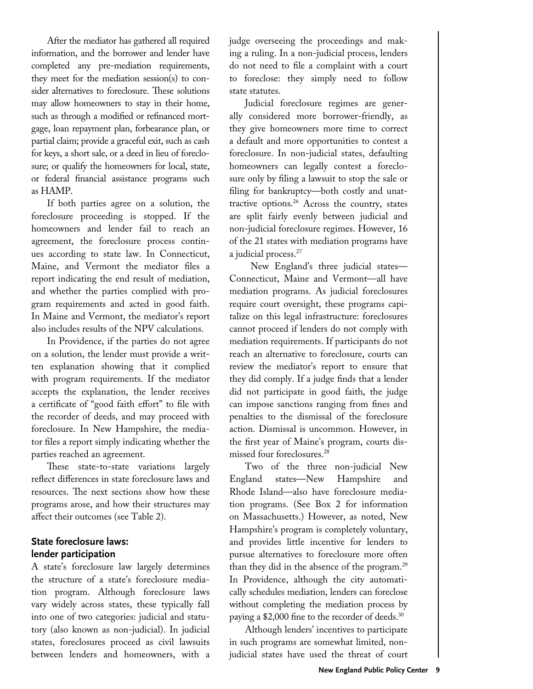After the mediator has gathered all required information, and the borrower and lender have completed any pre-mediation requirements, they meet for the mediation session(s) to consider alternatives to foreclosure. These solutions may allow homeowners to stay in their home, such as through a modified or refinanced mortgage, loan repayment plan, forbearance plan, or partial claim; provide a graceful exit, such as cash for keys, a short sale, or a deed in lieu of foreclosure; or qualify the homeowners for local, state, or federal financial assistance programs such as HAMP.

If both parties agree on a solution, the foreclosure proceeding is stopped. If the homeowners and lender fail to reach an agreement, the foreclosure process continues according to state law. In Connecticut, Maine, and Vermont the mediator files a report indicating the end result of mediation, and whether the parties complied with program requirements and acted in good faith. In Maine and Vermont, the mediator's report also includes results of the NPV calculations.

In Providence, if the parties do not agree on a solution, the lender must provide a written explanation showing that it complied with program requirements. If the mediator accepts the explanation, the lender receives a certificate of "good faith effort" to file with the recorder of deeds, and may proceed with foreclosure. In New Hampshire, the mediator files a report simply indicating whether the parties reached an agreement.

These state-to-state variations largely reflect differences in state foreclosure laws and resources. The next sections show how these programs arose, and how their structures may affect their outcomes (see Table 2).

# **State foreclosure laws: lender participation**

A state's foreclosure law largely determines the structure of a state's foreclosure mediation program. Although foreclosure laws vary widely across states, these typically fall into one of two categories: judicial and statutory (also known as non-judicial). In judicial states, foreclosures proceed as civil lawsuits between lenders and homeowners, with a

judge overseeing the proceedings and making a ruling. In a non-judicial process, lenders do not need to file a complaint with a court to foreclose: they simply need to follow state statutes.

Judicial foreclosure regimes are generally considered more borrower-friendly, as they give homeowners more time to correct a default and more opportunities to contest a foreclosure. In non-judicial states, defaulting homeowners can legally contest a foreclosure only by filing a lawsuit to stop the sale or filing for bankruptcy—both costly and unattractive options.26 Across the country, states are split fairly evenly between judicial and non-judicial foreclosure regimes. However, 16 of the 21 states with mediation programs have a judicial process.27

 New England's three judicial states— Connecticut, Maine and Vermont—all have mediation programs. As judicial foreclosures require court oversight, these programs capitalize on this legal infrastructure: foreclosures cannot proceed if lenders do not comply with mediation requirements. If participants do not reach an alternative to foreclosure, courts can review the mediator's report to ensure that they did comply. If a judge finds that a lender did not participate in good faith, the judge can impose sanctions ranging from fines and penalties to the dismissal of the foreclosure action. Dismissal is uncommon. However, in the first year of Maine's program, courts dismissed four foreclosures.28

Two of the three non-judicial New England states—New Hampshire and Rhode Island—also have foreclosure mediation programs. (See Box 2 for information on Massachusetts.) However, as noted, New Hampshire's program is completely voluntary, and provides little incentive for lenders to pursue alternatives to foreclosure more often than they did in the absence of the program.29 In Providence, although the city automatically schedules mediation, lenders can foreclose without completing the mediation process by paying a \$2,000 fine to the recorder of deeds.<sup>30</sup>

Although lenders' incentives to participate in such programs are somewhat limited, nonjudicial states have used the threat of court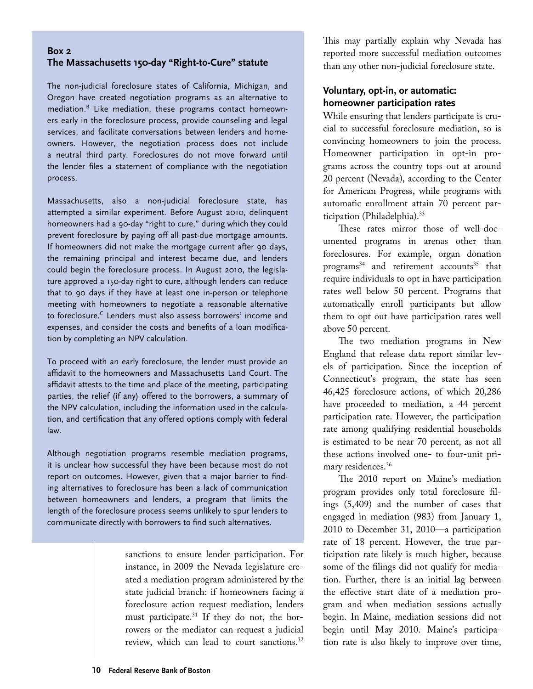#### **Box 2 The Massachusetts 150-day "Right-to-Cure" statute**

The non-judicial foreclosure states of California, Michigan, and Oregon have created negotiation programs as an alternative to mediation.<sup>B</sup> Like mediation, these programs contact homeowners early in the foreclosure process, provide counseling and legal services, and facilitate conversations between lenders and homeowners. However, the negotiation process does not include a neutral third party. Foreclosures do not move forward until the lender files a statement of compliance with the negotiation process.

Massachusetts, also a non-judicial foreclosure state, has attempted a similar experiment. Before August 2010, delinquent homeowners had a 90-day "right to cure," during which they could prevent foreclosure by paying off all past-due mortgage amounts. If homeowners did not make the mortgage current after 90 days, the remaining principal and interest became due, and lenders could begin the foreclosure process. In August 2010, the legislature approved a 150-day right to cure, although lenders can reduce that to 90 days if they have at least one in-person or telephone meeting with homeowners to negotiate a reasonable alternative to foreclosure.<sup>C</sup> Lenders must also assess borrowers' income and expenses, and consider the costs and benefits of a loan modification by completing an NPV calculation.

To proceed with an early foreclosure, the lender must provide an affidavit to the homeowners and Massachusetts Land Court. The affidavit attests to the time and place of the meeting, participating parties, the relief (if any) offered to the borrowers, a summary of the NPV calculation, including the information used in the calculation, and certification that any offered options comply with federal law.

Although negotiation programs resemble mediation programs, it is unclear how successful they have been because most do not report on outcomes. However, given that a major barrier to finding alternatives to foreclosure has been a lack of communication between homeowners and lenders, a program that limits the length of the foreclosure process seems unlikely to spur lenders to communicate directly with borrowers to find such alternatives.

> sanctions to ensure lender participation. For instance, in 2009 the Nevada legislature created a mediation program administered by the state judicial branch: if homeowners facing a foreclosure action request mediation, lenders must participate.31 If they do not, the borrowers or the mediator can request a judicial review, which can lead to court sanctions.<sup>32</sup>

This may partially explain why Nevada has reported more successful mediation outcomes than any other non-judicial foreclosure state.

# **Voluntary, opt-in, or automatic: homeowner participation rates**

While ensuring that lenders participate is crucial to successful foreclosure mediation, so is convincing homeowners to join the process. Homeowner participation in opt-in programs across the country tops out at around 20 percent (Nevada), according to the Center for American Progress, while programs with automatic enrollment attain 70 percent participation (Philadelphia).<sup>33</sup>

These rates mirror those of well-documented programs in arenas other than foreclosures. For example, organ donation  $programs<sup>34</sup>$  and retirement accounts<sup>35</sup> that require individuals to opt in have participation rates well below 50 percent. Programs that automatically enroll participants but allow them to opt out have participation rates well above 50 percent.

The two mediation programs in New England that release data report similar levels of participation. Since the inception of Connecticut's program, the state has seen 46,425 foreclosure actions, of which 20,286 have proceeded to mediation, a 44 percent participation rate. However, the participation rate among qualifying residential households is estimated to be near 70 percent, as not all these actions involved one- to four-unit primary residences.<sup>36</sup>

The 2010 report on Maine's mediation program provides only total foreclosure filings (5,409) and the number of cases that engaged in mediation (983) from January 1, 2010 to December 31, 2010—a participation rate of 18 percent. However, the true participation rate likely is much higher, because some of the filings did not qualify for mediation. Further, there is an initial lag between the effective start date of a mediation program and when mediation sessions actually begin. In Maine, mediation sessions did not begin until May 2010. Maine's participation rate is also likely to improve over time,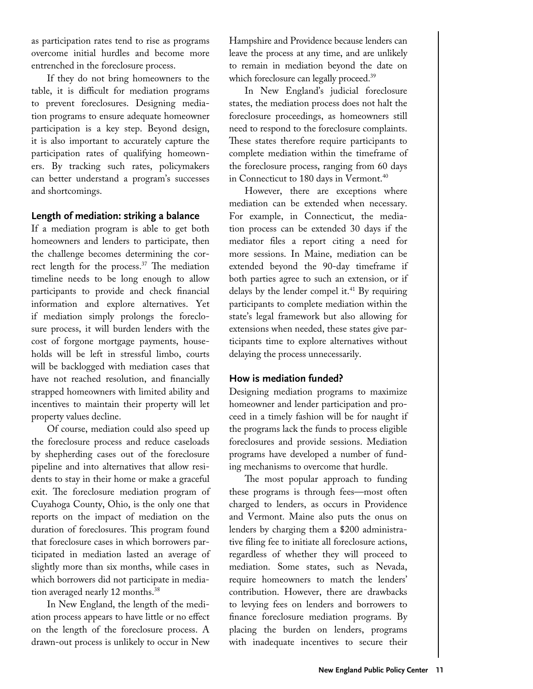as participation rates tend to rise as programs overcome initial hurdles and become more entrenched in the foreclosure process.

If they do not bring homeowners to the table, it is difficult for mediation programs to prevent foreclosures. Designing mediation programs to ensure adequate homeowner participation is a key step. Beyond design, it is also important to accurately capture the participation rates of qualifying homeowners. By tracking such rates, policymakers can better understand a program's successes and shortcomings.

#### **Length of mediation: striking a balance**

If a mediation program is able to get both homeowners and lenders to participate, then the challenge becomes determining the correct length for the process.<sup>37</sup> The mediation timeline needs to be long enough to allow participants to provide and check financial information and explore alternatives. Yet if mediation simply prolongs the foreclosure process, it will burden lenders with the cost of forgone mortgage payments, households will be left in stressful limbo, courts will be backlogged with mediation cases that have not reached resolution, and financially strapped homeowners with limited ability and incentives to maintain their property will let property values decline.

Of course, mediation could also speed up the foreclosure process and reduce caseloads by shepherding cases out of the foreclosure pipeline and into alternatives that allow residents to stay in their home or make a graceful exit. The foreclosure mediation program of Cuyahoga County, Ohio, is the only one that reports on the impact of mediation on the duration of foreclosures. This program found that foreclosure cases in which borrowers participated in mediation lasted an average of slightly more than six months, while cases in which borrowers did not participate in mediation averaged nearly 12 months.<sup>38</sup>

In New England, the length of the mediation process appears to have little or no effect on the length of the foreclosure process. A drawn-out process is unlikely to occur in New

Hampshire and Providence because lenders can leave the process at any time, and are unlikely to remain in mediation beyond the date on which foreclosure can legally proceed.<sup>39</sup>

In New England's judicial foreclosure states, the mediation process does not halt the foreclosure proceedings, as homeowners still need to respond to the foreclosure complaints. These states therefore require participants to complete mediation within the timeframe of the foreclosure process, ranging from 60 days in Connecticut to 180 days in Vermont.<sup>40</sup>

However, there are exceptions where mediation can be extended when necessary. For example, in Connecticut, the mediation process can be extended 30 days if the mediator files a report citing a need for more sessions. In Maine, mediation can be extended beyond the 90-day timeframe if both parties agree to such an extension, or if delays by the lender compel it. $41$  By requiring participants to complete mediation within the state's legal framework but also allowing for extensions when needed, these states give participants time to explore alternatives without delaying the process unnecessarily.

#### **How is mediation funded?**

Designing mediation programs to maximize homeowner and lender participation and proceed in a timely fashion will be for naught if the programs lack the funds to process eligible foreclosures and provide sessions. Mediation programs have developed a number of funding mechanisms to overcome that hurdle.

The most popular approach to funding these programs is through fees—most often charged to lenders, as occurs in Providence and Vermont. Maine also puts the onus on lenders by charging them a \$200 administrative filing fee to initiate all foreclosure actions, regardless of whether they will proceed to mediation. Some states, such as Nevada, require homeowners to match the lenders' contribution. However, there are drawbacks to levying fees on lenders and borrowers to finance foreclosure mediation programs. By placing the burden on lenders, programs with inadequate incentives to secure their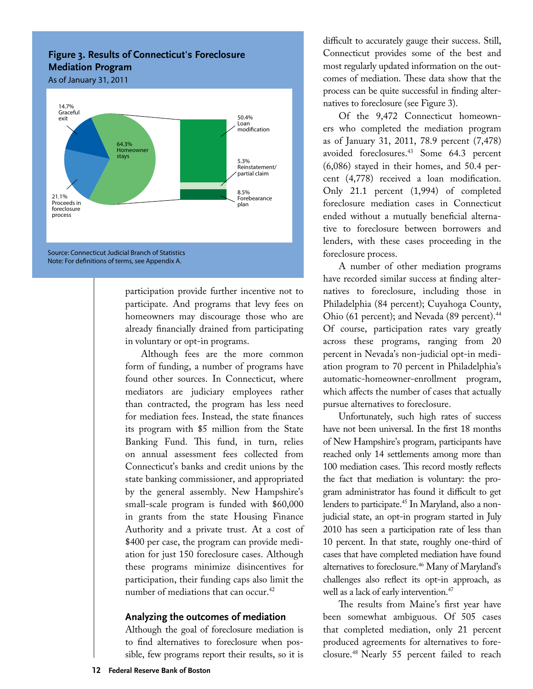# **Figure 3. Results of Connecticut's Foreclosure Mediation Program**



participation provide further incentive not to participate. And programs that levy fees on homeowners may discourage those who are already financially drained from participating in voluntary or opt-in programs.

Although fees are the more common form of funding, a number of programs have found other sources. In Connecticut, where mediators are judiciary employees rather than contracted, the program has less need for mediation fees. Instead, the state finances its program with \$5 million from the State Banking Fund. This fund, in turn, relies on annual assessment fees collected from Connecticut's banks and credit unions by the state banking commissioner, and appropriated by the general assembly. New Hampshire's small-scale program is funded with \$60,000 in grants from the state Housing Finance Authority and a private trust. At a cost of \$400 per case, the program can provide mediation for just 150 foreclosure cases. Although these programs minimize disincentives for participation, their funding caps also limit the number of mediations that can occur.<sup>42</sup>

#### **Analyzing the outcomes of mediation**

Although the goal of foreclosure mediation is to find alternatives to foreclosure when possible, few programs report their results, so it is

difficult to accurately gauge their success. Still, Connecticut provides some of the best and most regularly updated information on the outcomes of mediation. These data show that the process can be quite successful in finding alternatives to foreclosure (see Figure 3).

Of the 9,472 Connecticut homeowners who completed the mediation program as of January 31, 2011, 78.9 percent (7,478) avoided foreclosures.43 Some 64.3 percent (6,086) stayed in their homes, and 50.4 percent (4,778) received a loan modification. Only 21.1 percent (1,994) of completed foreclosure mediation cases in Connecticut ended without a mutually beneficial alternative to foreclosure between borrowers and lenders, with these cases proceeding in the foreclosure process.

A number of other mediation programs have recorded similar success at finding alternatives to foreclosure, including those in Philadelphia (84 percent); Cuyahoga County, Ohio (61 percent); and Nevada (89 percent).<sup>44</sup> Of course, participation rates vary greatly across these programs, ranging from 20 percent in Nevada's non-judicial opt-in mediation program to 70 percent in Philadelphia's automatic-homeowner-enrollment program, which affects the number of cases that actually pursue alternatives to foreclosure.

Unfortunately, such high rates of success have not been universal. In the first 18 months of New Hampshire's program, participants have reached only 14 settlements among more than 100 mediation cases. This record mostly reflects the fact that mediation is voluntary: the program administrator has found it difficult to get lenders to participate.<sup>45</sup> In Maryland, also a nonjudicial state, an opt-in program started in July 2010 has seen a participation rate of less than 10 percent. In that state, roughly one-third of cases that have completed mediation have found alternatives to foreclosure.<sup>46</sup> Many of Maryland's challenges also reflect its opt-in approach, as well as a lack of early intervention.<sup>47</sup>

The results from Maine's first year have been somewhat ambiguous. Of 505 cases that completed mediation, only 21 percent produced agreements for alternatives to foreclosure.48 Nearly 55 percent failed to reach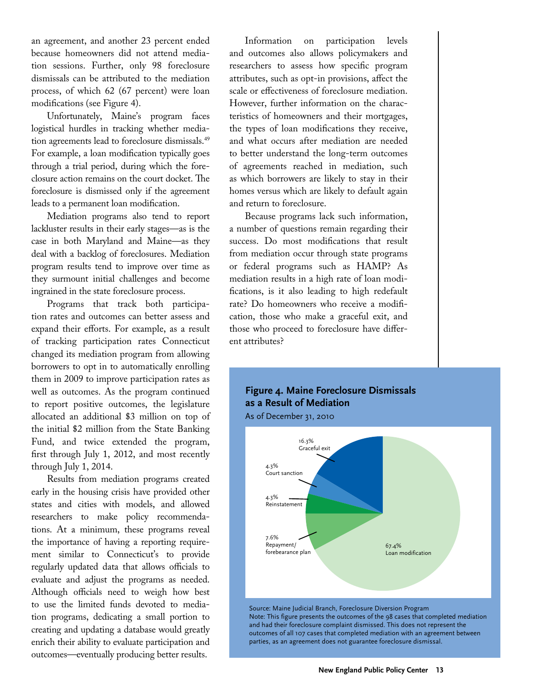an agreement, and another 23 percent ended because homeowners did not attend mediation sessions. Further, only 98 foreclosure dismissals can be attributed to the mediation process, of which 62 (67 percent) were loan modifications (see Figure 4).

Unfortunately, Maine's program faces logistical hurdles in tracking whether mediation agreements lead to foreclosure dismissals.49 For example, a loan modification typically goes through a trial period, during which the foreclosure action remains on the court docket. The foreclosure is dismissed only if the agreement leads to a permanent loan modification.

Mediation programs also tend to report lackluster results in their early stages—as is the case in both Maryland and Maine—as they deal with a backlog of foreclosures. Mediation program results tend to improve over time as they surmount initial challenges and become ingrained in the state foreclosure process.

Programs that track both participation rates and outcomes can better assess and expand their efforts. For example, as a result of tracking participation rates Connecticut changed its mediation program from allowing borrowers to opt in to automatically enrolling them in 2009 to improve participation rates as well as outcomes. As the program continued to report positive outcomes, the legislature allocated an additional \$3 million on top of the initial \$2 million from the State Banking Fund, and twice extended the program, first through July 1, 2012, and most recently through July 1, 2014.

Results from mediation programs created early in the housing crisis have provided other states and cities with models, and allowed researchers to make policy recommendations. At a minimum, these programs reveal the importance of having a reporting requirement similar to Connecticut's to provide regularly updated data that allows officials to evaluate and adjust the programs as needed. Although officials need to weigh how best to use the limited funds devoted to mediation programs, dedicating a small portion to creating and updating a database would greatly enrich their ability to evaluate participation and outcomes—eventually producing better results.

Information on participation levels and outcomes also allows policymakers and researchers to assess how specific program attributes, such as opt-in provisions, affect the scale or effectiveness of foreclosure mediation. However, further information on the characteristics of homeowners and their mortgages, the types of loan modifications they receive, and what occurs after mediation are needed to better understand the long-term outcomes of agreements reached in mediation, such as which borrowers are likely to stay in their homes versus which are likely to default again and return to foreclosure.

Because programs lack such information, a number of questions remain regarding their success. Do most modifications that result from mediation occur through state programs or federal programs such as HAMP? As mediation results in a high rate of loan modifications, is it also leading to high redefault rate? Do homeowners who receive a modification, those who make a graceful exit, and those who proceed to foreclosure have different attributes?

# **Figure 4. Maine Foreclosure Dismissals as a Result of Mediation**

As of December 31, 2010



Source: Maine Judicial Branch, Foreclosure Diversion Program Note: This figure presents the outcomes of the 98 cases that completed mediation and had their foreclosure complaint dismissed. This does not represent the outcomes of all 107 cases that completed mediation with an agreement between parties, as an agreement does not guarantee foreclosure dismissal.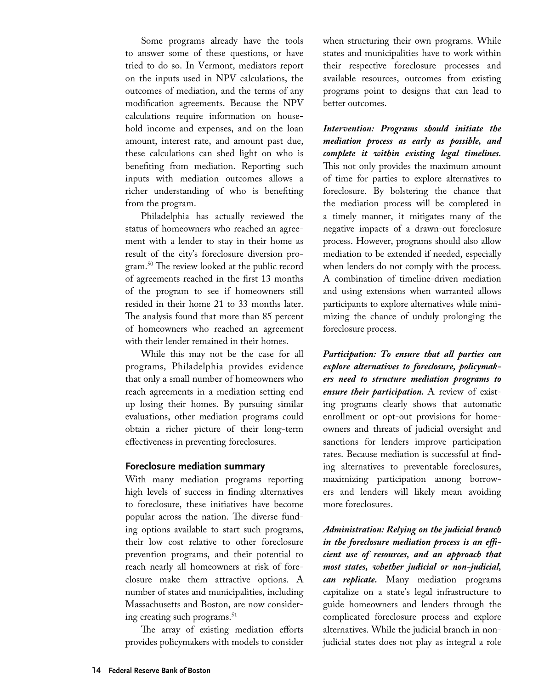Some programs already have the tools to answer some of these questions, or have tried to do so. In Vermont, mediators report on the inputs used in NPV calculations, the outcomes of mediation, and the terms of any modification agreements. Because the NPV calculations require information on household income and expenses, and on the loan amount, interest rate, and amount past due, these calculations can shed light on who is benefiting from mediation. Reporting such inputs with mediation outcomes allows a richer understanding of who is benefiting from the program.

Philadelphia has actually reviewed the status of homeowners who reached an agreement with a lender to stay in their home as result of the city's foreclosure diversion program.50 The review looked at the public record of agreements reached in the first 13 months of the program to see if homeowners still resided in their home 21 to 33 months later. The analysis found that more than 85 percent of homeowners who reached an agreement with their lender remained in their homes.

While this may not be the case for all programs, Philadelphia provides evidence that only a small number of homeowners who reach agreements in a mediation setting end up losing their homes. By pursuing similar evaluations, other mediation programs could obtain a richer picture of their long-term effectiveness in preventing foreclosures.

#### **Foreclosure mediation summary**

With many mediation programs reporting high levels of success in finding alternatives to foreclosure, these initiatives have become popular across the nation. The diverse funding options available to start such programs, their low cost relative to other foreclosure prevention programs, and their potential to reach nearly all homeowners at risk of foreclosure make them attractive options. A number of states and municipalities, including Massachusetts and Boston, are now considering creating such programs.<sup>51</sup>

The array of existing mediation efforts provides policymakers with models to consider when structuring their own programs. While states and municipalities have to work within their respective foreclosure processes and available resources, outcomes from existing programs point to designs that can lead to better outcomes.

*Intervention: Programs should initiate the mediation process as early as possible, and complete it within existing legal timelines.* This not only provides the maximum amount of time for parties to explore alternatives to foreclosure. By bolstering the chance that the mediation process will be completed in a timely manner, it mitigates many of the negative impacts of a drawn-out foreclosure process. However, programs should also allow mediation to be extended if needed, especially when lenders do not comply with the process. A combination of timeline-driven mediation and using extensions when warranted allows participants to explore alternatives while minimizing the chance of unduly prolonging the foreclosure process.

*Participation: To ensure that all parties can explore alternatives to foreclosure, policymakers need to structure mediation programs to ensure their participation.* A review of existing programs clearly shows that automatic enrollment or opt-out provisions for homeowners and threats of judicial oversight and sanctions for lenders improve participation rates. Because mediation is successful at finding alternatives to preventable foreclosures, maximizing participation among borrowers and lenders will likely mean avoiding more foreclosures.

*Administration: Relying on the judicial branch in the foreclosure mediation process is an efficient use of resources, and an approach that most states, whether judicial or non-judicial, can replicate.* Many mediation programs capitalize on a state's legal infrastructure to guide homeowners and lenders through the complicated foreclosure process and explore alternatives. While the judicial branch in nonjudicial states does not play as integral a role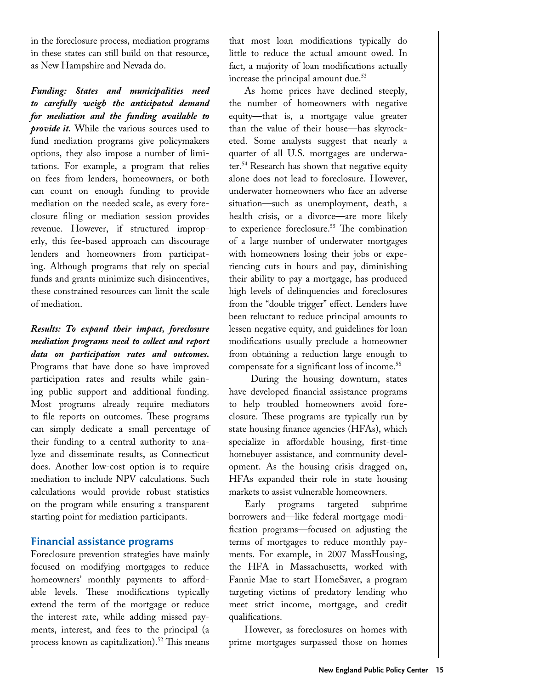in the foreclosure process, mediation programs in these states can still build on that resource, as New Hampshire and Nevada do.

*Funding: States and municipalities need to carefully weigh the anticipated demand for mediation and the funding available to provide it.* While the various sources used to fund mediation programs give policymakers options, they also impose a number of limitations. For example, a program that relies on fees from lenders, homeowners, or both can count on enough funding to provide mediation on the needed scale, as every foreclosure filing or mediation session provides revenue. However, if structured improperly, this fee-based approach can discourage lenders and homeowners from participating. Although programs that rely on special funds and grants minimize such disincentives, these constrained resources can limit the scale of mediation.

*Results: To expand their impact, foreclosure mediation programs need to collect and report data on participation rates and outcomes.* Programs that have done so have improved participation rates and results while gaining public support and additional funding. Most programs already require mediators to file reports on outcomes. These programs can simply dedicate a small percentage of their funding to a central authority to analyze and disseminate results, as Connecticut does. Another low-cost option is to require mediation to include NPV calculations. Such calculations would provide robust statistics on the program while ensuring a transparent starting point for mediation participants.

#### **Financial assistance programs**

Foreclosure prevention strategies have mainly focused on modifying mortgages to reduce homeowners' monthly payments to affordable levels. These modifications typically extend the term of the mortgage or reduce the interest rate, while adding missed payments, interest, and fees to the principal (a process known as capitalization).<sup>52</sup> This means

that most loan modifications typically do little to reduce the actual amount owed. In fact, a majority of loan modifications actually increase the principal amount due.<sup>53</sup>

As home prices have declined steeply, the number of homeowners with negative equity—that is, a mortgage value greater than the value of their house—has skyrocketed. Some analysts suggest that nearly a quarter of all U.S. mortgages are underwater.54 Research has shown that negative equity alone does not lead to foreclosure. However, underwater homeowners who face an adverse situation—such as unemployment, death, a health crisis, or a divorce—are more likely to experience foreclosure.<sup>55</sup> The combination of a large number of underwater mortgages with homeowners losing their jobs or experiencing cuts in hours and pay, diminishing their ability to pay a mortgage, has produced high levels of delinquencies and foreclosures from the "double trigger" effect. Lenders have been reluctant to reduce principal amounts to lessen negative equity, and guidelines for loan modifications usually preclude a homeowner from obtaining a reduction large enough to compensate for a significant loss of income.<sup>56</sup>

 During the housing downturn, states have developed financial assistance programs to help troubled homeowners avoid foreclosure. These programs are typically run by state housing finance agencies (HFAs), which specialize in affordable housing, first-time homebuyer assistance, and community development. As the housing crisis dragged on, HFAs expanded their role in state housing markets to assist vulnerable homeowners.

Early programs targeted subprime borrowers and—like federal mortgage modification programs—focused on adjusting the terms of mortgages to reduce monthly payments. For example, in 2007 MassHousing, the HFA in Massachusetts, worked with Fannie Mae to start HomeSaver, a program targeting victims of predatory lending who meet strict income, mortgage, and credit qualifications.

However, as foreclosures on homes with prime mortgages surpassed those on homes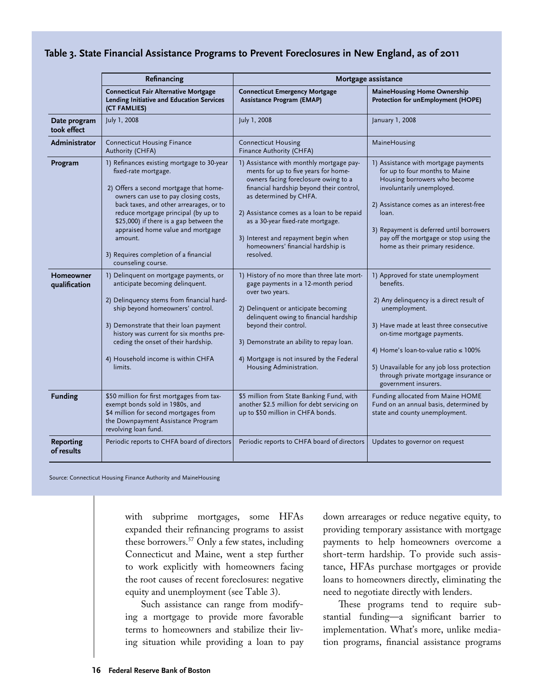#### **Table 3. State Financial Assistance Programs to Prevent Foreclosures in New England, as of 2011**

|                             | Refinancing                                                                                                                                                                                                                                                                                                                                                                                      | Mortgage assistance                                                                                                                                                                                                                                                                                                                                                         |                                                                                                                                                                                                                                                                                                                                                    |  |  |
|-----------------------------|--------------------------------------------------------------------------------------------------------------------------------------------------------------------------------------------------------------------------------------------------------------------------------------------------------------------------------------------------------------------------------------------------|-----------------------------------------------------------------------------------------------------------------------------------------------------------------------------------------------------------------------------------------------------------------------------------------------------------------------------------------------------------------------------|----------------------------------------------------------------------------------------------------------------------------------------------------------------------------------------------------------------------------------------------------------------------------------------------------------------------------------------------------|--|--|
|                             | <b>Connecticut Fair Alternative Mortgage</b><br>Lending Initiative and Education Services<br>(CT FAMLIES)                                                                                                                                                                                                                                                                                        | <b>Connecticut Emergency Mortgage</b><br><b>Assistance Program (EMAP)</b>                                                                                                                                                                                                                                                                                                   | <b>MaineHousing Home Ownership</b><br>Protection for unEmployment (HOPE)                                                                                                                                                                                                                                                                           |  |  |
| Date program<br>took effect | July 1, 2008                                                                                                                                                                                                                                                                                                                                                                                     | July 1, 2008                                                                                                                                                                                                                                                                                                                                                                | January 1, 2008                                                                                                                                                                                                                                                                                                                                    |  |  |
| Administrator               | <b>Connecticut Housing Finance</b><br>Authority (CHFA)                                                                                                                                                                                                                                                                                                                                           | <b>Connecticut Housing</b><br>Finance Authority (CHFA)                                                                                                                                                                                                                                                                                                                      | MaineHousing                                                                                                                                                                                                                                                                                                                                       |  |  |
| Program                     | 1) Refinances existing mortgage to 30-year<br>fixed-rate mortgage.<br>2) Offers a second mortgage that home-<br>owners can use to pay closing costs,<br>back taxes, and other arrearages, or to<br>reduce mortgage principal (by up to<br>\$25,000) if there is a gap between the<br>appraised home value and mortgage<br>amount.<br>3) Requires completion of a financial<br>counseling course. | 1) Assistance with monthly mortgage pay-<br>ments for up to five years for home-<br>owners facing foreclosure owing to a<br>financial hardship beyond their control,<br>as determined by CHFA.<br>2) Assistance comes as a loan to be repaid<br>as a 30-year fixed-rate mortgage.<br>3) Interest and repayment begin when<br>homeowners' financial hardship is<br>resolved. | 1) Assistance with mortgage payments<br>for up to four months to Maine<br>Housing borrowers who become<br>involuntarily unemployed.<br>2) Assistance comes as an interest-free<br>loan.<br>3) Repayment is deferred until borrowers<br>pay off the mortgage or stop using the<br>home as their primary residence.                                  |  |  |
| Homeowner<br>qualification  | 1) Delinquent on mortgage payments, or<br>anticipate becoming delinquent.<br>2) Delinguency stems from financial hard-<br>ship beyond homeowners' control.<br>3) Demonstrate that their loan payment<br>history was current for six months pre-<br>ceding the onset of their hardship.<br>4) Household income is within CHFA<br>limits.                                                          | 1) History of no more than three late mort-<br>gage payments in a 12-month period<br>over two years.<br>2) Delinquent or anticipate becoming<br>delinquent owing to financial hardship<br>beyond their control.<br>3) Demonstrate an ability to repay loan.<br>4) Mortgage is not insured by the Federal<br>Housing Administration.                                         | 1) Approved for state unemployment<br>benefits.<br>2) Any delinquency is a direct result of<br>unemployment.<br>3) Have made at least three consecutive<br>on-time mortgage payments.<br>4) Home's loan-to-value ratio $\leq 100\%$<br>5) Unavailable for any job loss protection<br>through private mortgage insurance or<br>government insurers. |  |  |
| <b>Funding</b>              | \$50 million for first mortgages from tax-<br>exempt bonds sold in 1980s, and<br>\$4 million for second mortgages from<br>the Downpayment Assistance Program<br>revolving loan fund.                                                                                                                                                                                                             | \$5 million from State Banking Fund, with<br>another \$2.5 million for debt servicing on<br>up to \$50 million in CHFA bonds.                                                                                                                                                                                                                                               | Funding allocated from Maine HOME<br>Fund on an annual basis, determined by<br>state and county unemployment.                                                                                                                                                                                                                                      |  |  |
| Reporting<br>of results     | Periodic reports to CHFA board of directors                                                                                                                                                                                                                                                                                                                                                      | Periodic reports to CHFA board of directors                                                                                                                                                                                                                                                                                                                                 | Updates to governor on request                                                                                                                                                                                                                                                                                                                     |  |  |

Source: Connecticut Housing Finance Authority and MaineHousing

with subprime mortgages, some HFAs expanded their refinancing programs to assist these borrowers.57 Only a few states, including Connecticut and Maine, went a step further to work explicitly with homeowners facing the root causes of recent foreclosures: negative equity and unemployment (see Table 3).

Such assistance can range from modifying a mortgage to provide more favorable terms to homeowners and stabilize their living situation while providing a loan to pay

down arrearages or reduce negative equity, to providing temporary assistance with mortgage payments to help homeowners overcome a short-term hardship. To provide such assistance, HFAs purchase mortgages or provide loans to homeowners directly, eliminating the need to negotiate directly with lenders.

These programs tend to require substantial funding—a significant barrier to implementation. What's more, unlike mediation programs, financial assistance programs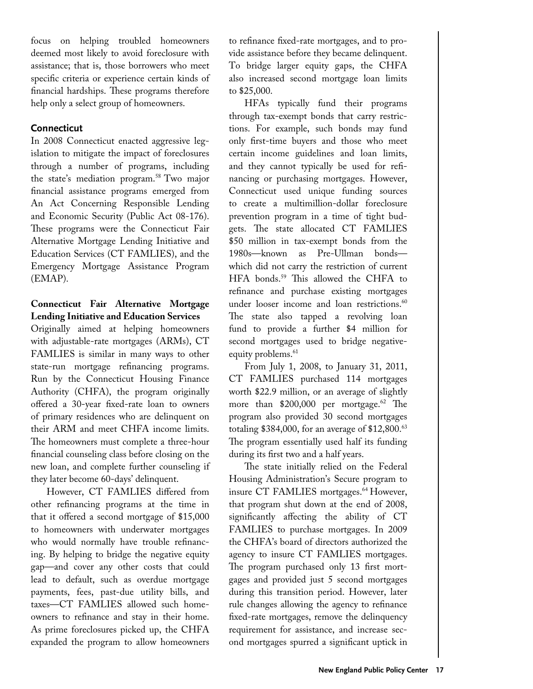focus on helping troubled homeowners deemed most likely to avoid foreclosure with assistance; that is, those borrowers who meet specific criteria or experience certain kinds of financial hardships. These programs therefore help only a select group of homeowners.

#### **Connecticut**

In 2008 Connecticut enacted aggressive legislation to mitigate the impact of foreclosures through a number of programs, including the state's mediation program.<sup>58</sup> Two major financial assistance programs emerged from An Act Concerning Responsible Lending and Economic Security (Public Act 08-176). These programs were the Connecticut Fair Alternative Mortgage Lending Initiative and Education Services (CT FAMLIES), and the Emergency Mortgage Assistance Program (EMAP).

# **Connecticut Fair Alternative Mortgage Lending Initiative and Education Services**

Originally aimed at helping homeowners with adjustable-rate mortgages (ARMs), CT FAMLIES is similar in many ways to other state-run mortgage refinancing programs. Run by the Connecticut Housing Finance Authority (CHFA), the program originally offered a 30-year fixed-rate loan to owners of primary residences who are delinquent on their ARM and meet CHFA income limits. The homeowners must complete a three-hour financial counseling class before closing on the new loan, and complete further counseling if they later become 60-days' delinquent.

However, CT FAMLIES differed from other refinancing programs at the time in that it offered a second mortgage of \$15,000 to homeowners with underwater mortgages who would normally have trouble refinancing. By helping to bridge the negative equity gap—and cover any other costs that could lead to default, such as overdue mortgage payments, fees, past-due utility bills, and taxes—CT FAMLIES allowed such homeowners to refinance and stay in their home. As prime foreclosures picked up, the CHFA expanded the program to allow homeowners

to refinance fixed-rate mortgages, and to provide assistance before they became delinquent. To bridge larger equity gaps, the CHFA also increased second mortgage loan limits to \$25,000.

HFAs typically fund their programs through tax-exempt bonds that carry restrictions. For example, such bonds may fund only first-time buyers and those who meet certain income guidelines and loan limits, and they cannot typically be used for refinancing or purchasing mortgages. However, Connecticut used unique funding sources to create a multimillion-dollar foreclosure prevention program in a time of tight budgets. The state allocated CT FAMLIES \$50 million in tax-exempt bonds from the 1980s—known as Pre-Ullman bonds which did not carry the restriction of current HFA bonds.59 This allowed the CHFA to refinance and purchase existing mortgages under looser income and loan restrictions.<sup>60</sup> The state also tapped a revolving loan fund to provide a further \$4 million for second mortgages used to bridge negativeequity problems.<sup>61</sup>

From July 1, 2008, to January 31, 2011, CT FAMLIES purchased 114 mortgages worth \$22.9 million, or an average of slightly more than \$200,000 per mortgage.<sup>62</sup> The program also provided 30 second mortgages totaling  $$384,000$ , for an average of  $$12,800$ .<sup>63</sup> The program essentially used half its funding during its first two and a half years.

The state initially relied on the Federal Housing Administration's Secure program to insure CT FAMLIES mortgages.<sup>64</sup> However, that program shut down at the end of 2008, significantly affecting the ability of CT FAMLIES to purchase mortgages. In 2009 the CHFA's board of directors authorized the agency to insure CT FAMLIES mortgages. The program purchased only 13 first mortgages and provided just 5 second mortgages during this transition period. However, later rule changes allowing the agency to refinance fixed-rate mortgages, remove the delinquency requirement for assistance, and increase second mortgages spurred a significant uptick in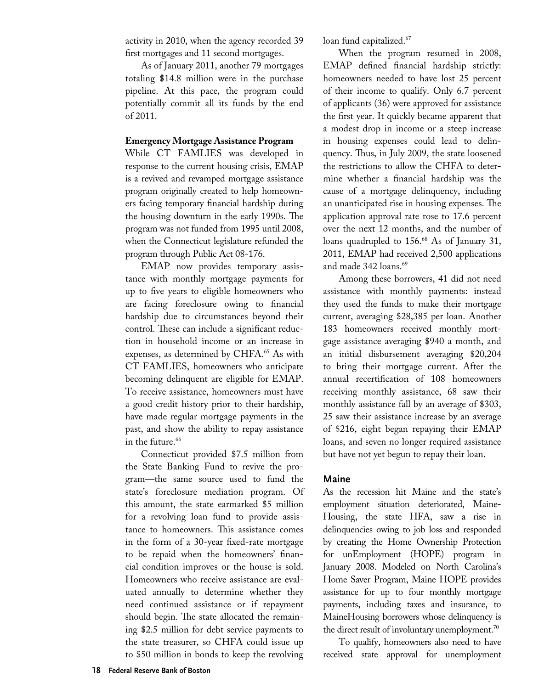activity in 2010, when the agency recorded 39 first mortgages and 11 second mortgages.

As of January 2011, another 79 mortgages totaling \$14.8 million were in the purchase pipeline. At this pace, the program could potentially commit all its funds by the end of 2011.

#### **Emergency Mortgage Assistance Program**

While CT FAMLIES was developed in response to the current housing crisis, EMAP is a revived and revamped mortgage assistance program originally created to help homeowners facing temporary financial hardship during the housing downturn in the early 1990s. The program was not funded from 1995 until 2008, when the Connecticut legislature refunded the program through Public Act 08-176.

EMAP now provides temporary assistance with monthly mortgage payments for up to five years to eligible homeowners who are facing foreclosure owing to financial hardship due to circumstances beyond their control. These can include a significant reduction in household income or an increase in expenses, as determined by CHFA.<sup>65</sup> As with CT FAMLIES, homeowners who anticipate becoming delinquent are eligible for EMAP. To receive assistance, homeowners must have a good credit history prior to their hardship, have made regular mortgage payments in the past, and show the ability to repay assistance in the future.<sup>66</sup>

Connecticut provided \$7.5 million from the State Banking Fund to revive the program—the same source used to fund the state's foreclosure mediation program. Of this amount, the state earmarked \$5 million for a revolving loan fund to provide assistance to homeowners. This assistance comes in the form of a 30-year fixed-rate mortgage to be repaid when the homeowners' financial condition improves or the house is sold. Homeowners who receive assistance are evaluated annually to determine whether they need continued assistance or if repayment should begin. The state allocated the remaining \$2.5 million for debt service payments to the state treasurer, so CHFA could issue up to \$50 million in bonds to keep the revolving

loan fund capitalized.<sup>67</sup>

When the program resumed in 2008, EMAP defined financial hardship strictly: homeowners needed to have lost 25 percent of their income to qualify. Only 6.7 percent of applicants (36) were approved for assistance the first year. It quickly became apparent that a modest drop in income or a steep increase in housing expenses could lead to delinquency. Thus, in July 2009, the state loosened the restrictions to allow the CHFA to determine whether a financial hardship was the cause of a mortgage delinquency, including an unanticipated rise in housing expenses. The application approval rate rose to 17.6 percent over the next 12 months, and the number of loans quadrupled to 156.<sup>68</sup> As of January 31, 2011, EMAP had received 2,500 applications and made 342 loans.<sup>69</sup>

Among these borrowers, 41 did not need assistance with monthly payments: instead they used the funds to make their mortgage current, averaging \$28,385 per loan. Another 183 homeowners received monthly mortgage assistance averaging \$940 a month, and an initial disbursement averaging \$20,204 to bring their mortgage current. After the annual recertification of 108 homeowners receiving monthly assistance, 68 saw their monthly assistance fall by an average of \$303, 25 saw their assistance increase by an average of \$216, eight began repaying their EMAP loans, and seven no longer required assistance but have not yet begun to repay their loan.

#### **Maine**

As the recession hit Maine and the state's employment situation deteriorated, Maine-Housing, the state HFA, saw a rise in delinquencies owing to job loss and responded by creating the Home Ownership Protection for unEmployment (HOPE) program in January 2008. Modeled on North Carolina's Home Saver Program, Maine HOPE provides assistance for up to four monthly mortgage payments, including taxes and insurance, to MaineHousing borrowers whose delinquency is the direct result of involuntary unemployment.<sup>70</sup>

To qualify, homeowners also need to have received state approval for unemployment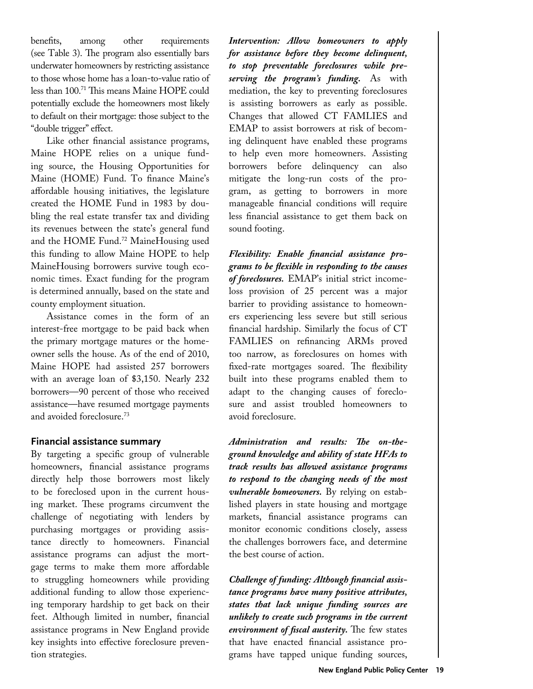benefits, among other requirements (see Table 3). The program also essentially bars underwater homeowners by restricting assistance to those whose home has a loan-to-value ratio of less than 100.71 This means Maine HOPE could potentially exclude the homeowners most likely to default on their mortgage: those subject to the "double trigger" effect.

Like other financial assistance programs, Maine HOPE relies on a unique funding source, the Housing Opportunities for Maine (HOME) Fund. To finance Maine's affordable housing initiatives, the legislature created the HOME Fund in 1983 by doubling the real estate transfer tax and dividing its revenues between the state's general fund and the HOME Fund.<sup>72</sup> MaineHousing used this funding to allow Maine HOPE to help MaineHousing borrowers survive tough economic times. Exact funding for the program is determined annually, based on the state and county employment situation.

Assistance comes in the form of an interest-free mortgage to be paid back when the primary mortgage matures or the homeowner sells the house. As of the end of 2010, Maine HOPE had assisted 257 borrowers with an average loan of \$3,150. Nearly 232 borrowers—90 percent of those who received assistance—have resumed mortgage payments and avoided foreclosure.<sup>73</sup>

#### **Financial assistance summary**

By targeting a specific group of vulnerable homeowners, financial assistance programs directly help those borrowers most likely to be foreclosed upon in the current housing market. These programs circumvent the challenge of negotiating with lenders by purchasing mortgages or providing assistance directly to homeowners. Financial assistance programs can adjust the mortgage terms to make them more affordable to struggling homeowners while providing additional funding to allow those experiencing temporary hardship to get back on their feet. Although limited in number, financial assistance programs in New England provide key insights into effective foreclosure prevention strategies.

*Intervention: Allow homeowners to apply for assistance before they become delinquent, to stop preventable foreclosures while preserving the program's funding.* As with mediation, the key to preventing foreclosures is assisting borrowers as early as possible. Changes that allowed CT FAMLIES and EMAP to assist borrowers at risk of becoming delinquent have enabled these programs to help even more homeowners. Assisting borrowers before delinquency can also mitigate the long-run costs of the program, as getting to borrowers in more manageable financial conditions will require less financial assistance to get them back on sound footing.

*Flexibility: Enable financial assistance programs to be flexible in responding to the causes of foreclosures.* EMAP's initial strict incomeloss provision of 25 percent was a major barrier to providing assistance to homeowners experiencing less severe but still serious financial hardship. Similarly the focus of CT FAMLIES on refinancing ARMs proved too narrow, as foreclosures on homes with fixed-rate mortgages soared. The flexibility built into these programs enabled them to adapt to the changing causes of foreclosure and assist troubled homeowners to avoid foreclosure.

*Administration and results: The on-theground knowledge and ability of state HFAs to track results has allowed assistance programs to respond to the changing needs of the most vulnerable homeowners.* By relying on established players in state housing and mortgage markets, financial assistance programs can monitor economic conditions closely, assess the challenges borrowers face, and determine the best course of action.

*Challenge of funding: Although financial assistance programs have many positive attributes, states that lack unique funding sources are unlikely to create such programs in the current environment of fiscal austerity.* The few states that have enacted financial assistance programs have tapped unique funding sources,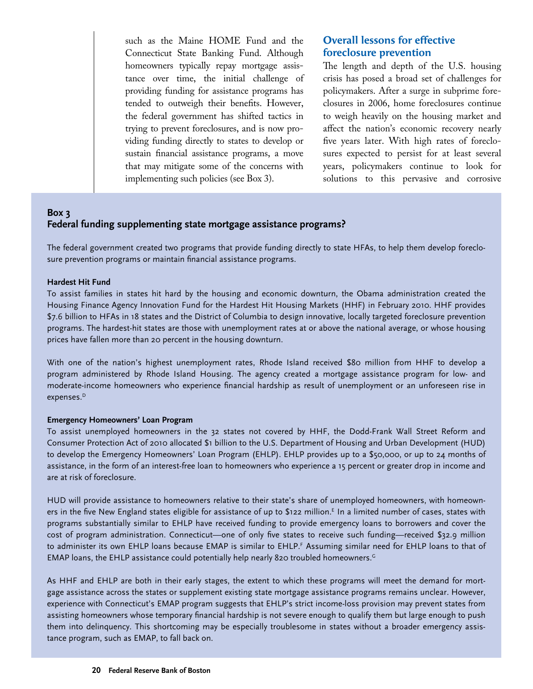such as the Maine HOME Fund and the Connecticut State Banking Fund. Although homeowners typically repay mortgage assistance over time, the initial challenge of providing funding for assistance programs has tended to outweigh their benefits. However, the federal government has shifted tactics in trying to prevent foreclosures, and is now providing funding directly to states to develop or sustain financial assistance programs, a move that may mitigate some of the concerns with implementing such policies (see Box 3).

# **Overall lessons for effective foreclosure prevention**

The length and depth of the U.S. housing crisis has posed a broad set of challenges for policymakers. After a surge in subprime foreclosures in 2006, home foreclosures continue to weigh heavily on the housing market and affect the nation's economic recovery nearly five years later. With high rates of foreclosures expected to persist for at least several years, policymakers continue to look for solutions to this pervasive and corrosive

# **Box 3 Federal funding supplementing state mortgage assistance programs?**

The federal government created two programs that provide funding directly to state HFAs, to help them develop foreclosure prevention programs or maintain financial assistance programs.

#### **Hardest Hit Fund**

To assist families in states hit hard by the housing and economic downturn, the Obama administration created the Housing Finance Agency Innovation Fund for the Hardest Hit Housing Markets (HHF) in February 2010. HHF provides \$7.6 billion to HFAs in 18 states and the District of Columbia to design innovative, locally targeted foreclosure prevention programs. The hardest-hit states are those with unemployment rates at or above the national average, or whose housing prices have fallen more than 20 percent in the housing downturn.

With one of the nation's highest unemployment rates, Rhode Island received \$80 million from HHF to develop a program administered by Rhode Island Housing. The agency created a mortgage assistance program for low- and moderate-income homeowners who experience financial hardship as result of unemployment or an unforeseen rise in expenses.<sup>D</sup>

#### **Emergency Homeowners' Loan Program**

To assist unemployed homeowners in the 32 states not covered by HHF, the Dodd-Frank Wall Street Reform and Consumer Protection Act of 2010 allocated \$1 billion to the U.S. Department of Housing and Urban Development (HUD) to develop the Emergency Homeowners' Loan Program (EHLP). EHLP provides up to a \$50,000, or up to 24 months of assistance, in the form of an interest-free loan to homeowners who experience a 15 percent or greater drop in income and are at risk of foreclosure.

HUD will provide assistance to homeowners relative to their state's share of unemployed homeowners, with homeowners in the five New England states eligible for assistance of up to \$122 million.<sup>E</sup> In a limited number of cases, states with programs substantially similar to EHLP have received funding to provide emergency loans to borrowers and cover the cost of program administration. Connecticut—one of only five states to receive such funding—received \$32.9 million to administer its own EHLP loans because EMAP is similar to EHLP.<sup>F</sup> Assuming similar need for EHLP loans to that of EMAP loans, the EHLP assistance could potentially help nearly 820 troubled homeowners.G

As HHF and EHLP are both in their early stages, the extent to which these programs will meet the demand for mortgage assistance across the states or supplement existing state mortgage assistance programs remains unclear. However, experience with Connecticut's EMAP program suggests that EHLP's strict income-loss provision may prevent states from assisting homeowners whose temporary financial hardship is not severe enough to qualify them but large enough to push them into delinquency. This shortcoming may be especially troublesome in states without a broader emergency assistance program, such as EMAP, to fall back on.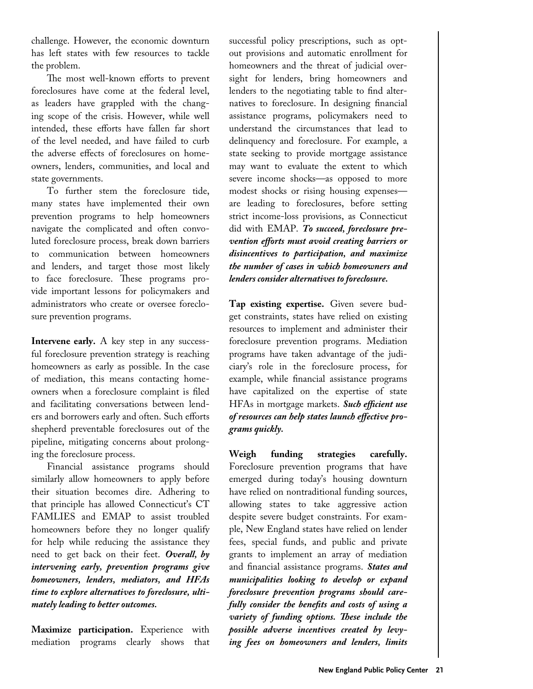challenge. However, the economic downturn has left states with few resources to tackle the problem.

The most well-known efforts to prevent foreclosures have come at the federal level, as leaders have grappled with the changing scope of the crisis. However, while well intended, these efforts have fallen far short of the level needed, and have failed to curb the adverse effects of foreclosures on homeowners, lenders, communities, and local and state governments.

To further stem the foreclosure tide, many states have implemented their own prevention programs to help homeowners navigate the complicated and often convoluted foreclosure process, break down barriers to communication between homeowners and lenders, and target those most likely to face foreclosure. These programs provide important lessons for policymakers and administrators who create or oversee foreclosure prevention programs.

**Intervene early.** A key step in any successful foreclosure prevention strategy is reaching homeowners as early as possible. In the case of mediation, this means contacting homeowners when a foreclosure complaint is filed and facilitating conversations between lenders and borrowers early and often. Such efforts shepherd preventable foreclosures out of the pipeline, mitigating concerns about prolonging the foreclosure process.

Financial assistance programs should similarly allow homeowners to apply before their situation becomes dire. Adhering to that principle has allowed Connecticut's CT FAMLIES and EMAP to assist troubled homeowners before they no longer qualify for help while reducing the assistance they need to get back on their feet. *Overall, by intervening early, prevention programs give homeowners, lenders, mediators, and HFAs time to explore alternatives to foreclosure, ultimately leading to better outcomes.* 

**Maximize participation.** Experience with mediation programs clearly shows that

successful policy prescriptions, such as optout provisions and automatic enrollment for homeowners and the threat of judicial oversight for lenders, bring homeowners and lenders to the negotiating table to find alternatives to foreclosure. In designing financial assistance programs, policymakers need to understand the circumstances that lead to delinquency and foreclosure. For example, a state seeking to provide mortgage assistance may want to evaluate the extent to which severe income shocks—as opposed to more modest shocks or rising housing expenses are leading to foreclosures, before setting strict income-loss provisions, as Connecticut did with EMAP. *To succeed, foreclosure prevention efforts must avoid creating barriers or disincentives to participation, and maximize the number of cases in which homeowners and lenders consider alternatives to foreclosure.* 

**Tap existing expertise.** Given severe budget constraints, states have relied on existing resources to implement and administer their foreclosure prevention programs. Mediation programs have taken advantage of the judiciary's role in the foreclosure process, for example, while financial assistance programs have capitalized on the expertise of state HFAs in mortgage markets. *Such efficient use of resources can help states launch effective programs quickly.*

**Weigh funding strategies carefully.**  Foreclosure prevention programs that have emerged during today's housing downturn have relied on nontraditional funding sources, allowing states to take aggressive action despite severe budget constraints. For example, New England states have relied on lender fees, special funds, and public and private grants to implement an array of mediation and financial assistance programs. *States and municipalities looking to develop or expand foreclosure prevention programs should carefully consider the benefits and costs of using a variety of funding options. These include the possible adverse incentives created by levying fees on homeowners and lenders, limits*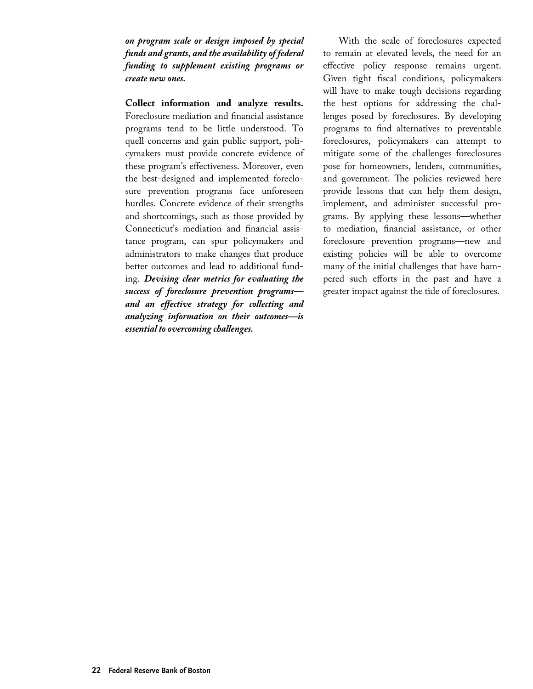*on program scale or design imposed by special funds and grants, and the availability of federal funding to supplement existing programs or create new ones.*

**Collect information and analyze results.** Foreclosure mediation and financial assistance programs tend to be little understood. To quell concerns and gain public support, policymakers must provide concrete evidence of these program's effectiveness. Moreover, even the best-designed and implemented foreclosure prevention programs face unforeseen hurdles. Concrete evidence of their strengths and shortcomings, such as those provided by Connecticut's mediation and financial assistance program, can spur policymakers and administrators to make changes that produce better outcomes and lead to additional funding. *Devising clear metrics for evaluating the success of foreclosure prevention programs and an effective strategy for collecting and analyzing information on their outcomes—is essential to overcoming challenges.* 

With the scale of foreclosures expected to remain at elevated levels, the need for an effective policy response remains urgent. Given tight fiscal conditions, policymakers will have to make tough decisions regarding the best options for addressing the challenges posed by foreclosures. By developing programs to find alternatives to preventable foreclosures, policymakers can attempt to mitigate some of the challenges foreclosures pose for homeowners, lenders, communities, and government. The policies reviewed here provide lessons that can help them design, implement, and administer successful programs. By applying these lessons—whether to mediation, financial assistance, or other foreclosure prevention programs—new and existing policies will be able to overcome many of the initial challenges that have hampered such efforts in the past and have a greater impact against the tide of foreclosures.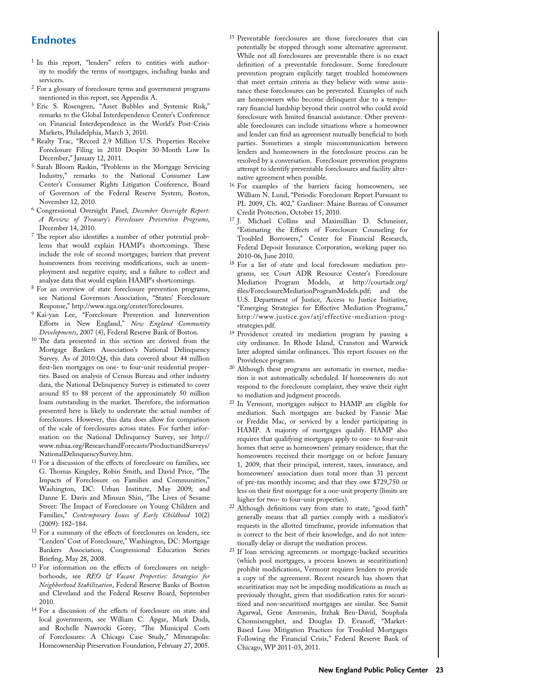# **Endnotes**

- <sup>1</sup> In this report, "lenders" refers to entities with authority to modify the terms of mortgages, including banks and
- $^2$  For a glossary of foreclosure terms and government programs mentioned in this report, see Appendix A.
- <sup>3</sup> Eric S. Rosengren, "Asset Bubbles and Systemic Risk," remarks to the Global Interdependence Center's Conference on Financial Interdependence in the World's Post-Crisis Markets, Philadelphia, March 3, 2010.
- <sup>4</sup> Realty Trac, "Record 2.9 Million U.S. Properties Receive Foreclosure Filing in 2010 Despite 30-Month Low In December," January 12, 2011.
- <sup>5</sup> Sarah Bloom Raskin, "Problems in the Mortgage Servicing Industry," remarks to the National Consumer Law Center's Consumer Rights Litigation Conference, Board of Governors of the Federal Reserve System, Boston,
- <sup>6</sup> Congressional Oversight Panel, *December Oversight Report: A Review of Treasury's Foreclosure Prevention Programs*, December 14, 2010.
- <sup>7</sup> The report also identifies a number of other potential problems that would explain HAMP's shortcomings. These include the role of second mortgages; barriers that prevent homeowners from receiving modifications, such as unemployment and negative equity; and a failure to collect and analyze data that would explain HAMP's shortcomings.
- <sup>8</sup> For an overview of state foreclosure prevention programs, see National Governors Association, "States' Foreclosure Response," http://www.nga.org/center/foreclosures.
- <sup>9</sup> Kai-yan Lee, "Foreclosure Prevention and Intervention Efforts in New England," *New England Community Developments*, 2007 (4), Federal Reserve Bank of Boston.
- <sup>10</sup> The data presented in this section are derived from the Mortgage Bankers Association's National Delinquency Survey. As of 2010:Q4, this data covered about 44 million first-lien mortgages on one- to four-unit residential properties. Based on analysis of Census Bureau and other industry data, the National Delinquency Survey is estimated to cover around 85 to 88 percent of the approximately 50 million loans outstanding in the market. Therefore, the information presented here is likely to understate the actual number of foreclosures. However, this data does allow for comparison of the scale of foreclosures across states. For further information on the National Delinquency Survey, see http:// www.mbaa.org/ResearchandForecasts/ProductsandSurveys/
- $11$  For a discussion of the effects of foreclosure on families, see G. Thomas Kingsley, Robin Smith, and David Price, "The Impacts of Foreclosure on Families and Communities," Washington, DC: Urban Institute, May 2009; and Danne E. Davis and Minsun Shin, "The Lives of Sesame Street: The Impact of Foreclosure on Young Children and Families," *Contemporary Issues of Early Childhood* 10(2) (2009): 182–184.
- <sup>12</sup> For a summary of the effects of foreclosures on lenders, see "Lenders' Cost of Foreclosure," Washington, DC: Mortgage Bankers Association, Congressional Education Series Briefing, May 28, 2008.
- <sup>13</sup> For information on the effects of foreclosures on neighborhoods, see *REO & Vacant Properties: Strategies for Neighborhood Stabilization*, Federal Reserve Banks of Boston and Cleveland and the Federal Reserve Board, September 2010.
- <sup>14</sup> For a discussion of the effects of foreclosure on state and local governments, see William C. Apgar, Mark Duda, and Rochelle Nawrocki Gorey, "The Municipal Costs of Foreclosures: A Chicago Case Study," Minneapolis: Homeownership Preservation Foundation, February 27, 2005.
- <sup>15</sup> Preventable foreclosures are those foreclosures that can potentially be stopped through some alternative agreement. While not all foreclosures are preventable there is no exact definition of a preventable foreclosure. Some foreclosure prevention program explicitly target troubled homeowners that meet certain criteria as they believe with some assistance these foreclosures can be prevented. Examples of such are homeowners who become delinquent due to a temporary financial hardship beyond their control who could avoid foreclosure with limited financial assistance. Other preventable foreclosures can include situations where a homeowner and lender can find an agreement mutually beneficial to both parties. Sometimes a simple miscommunication between lenders and homeowners in the foreclosure process can be resolved by a conversation. Foreclosure prevention programs attempt to identify preventable foreclosures and facility alter-
- $16$  For examples of the barriers facing homeowners, see William N. Lund, "Periodic Foreclosure Report Pursuant to PL 2009, Ch. 402," Gardiner: Maine Bureau of Consumer Credit Protection, October 15, 2010.
- <sup>17</sup> J. Michael Collins and Maximillian D. Schmeiser, "Estimating the Effects of Foreclosure Counseling for Troubled Borrowers," Center for Financial Research, Federal Deposit Insurance Corporation, working paper no. 2010-06, June 2010.
- <sup>18</sup> For a list of state and local foreclosure mediation programs, see Court ADR Resource Center's Foreclosure Mediation Program Models, at http://courtadr.org/ files/ForeclosureMediationProgramModels.pdf; and the U.S. Department of Justice, Access to Justice Initiative, "Emerging Strategies for Effective Mediation Programs," http://www.justice.gov/atj/effective-mediation-prog-
- strategies.pdf. 19 Providence created its mediation program by passing a city ordinance. In Rhode Island, Cranston and Warwick later adopted similar ordinances. This report focuses on the Providence program.
- <sup>20</sup> Although these programs are automatic in essence, mediation is not automatically scheduled. If homeowners do not respond to the foreclosure complaint, they waive their right to mediation and judgment proceeds.
- <sup>21</sup> In Vermont, mortgages subject to HAMP are eligible for mediation. Such mortgages are backed by Fannie Mae or Freddie Mac, or serviced by a lender participating in HAMP. A majority of mortgages qualify. HAMP also requires that qualifying mortgages apply to one- to four-unit homes that serve as homeowners' primary residence; that the homeowners received their mortgage on or before January 1, 2009; that their principal, interest, taxes, insurance, and homeowners' association dues total more than 31 percent of pre-tax monthly income; and that they owe \$729,750 or less on their first mortgage for a one-unit property (limits are higher for two- to four-unit properties).
- <sup>22</sup> Although definitions vary from state to state, "good faith" generally means that all parties comply with a mediator's requests in the allotted timeframe, provide information that is correct to the best of their knowledge, and do not intentionally delay or disrupt the mediation process.
- <sup>23</sup> If loan servicing agreements or mortgage-backed securities (which pool mortgages, a process known as securitization) prohibit modifications, Vermont requires lenders to provide a copy of the agreement. Recent research has shown that securitization may not be impeding modifications as much as previously thought, given that modification rates for securitized and non-securitized mortgages are similar. See Sumit Agarwal, Gene Amromin, Itzhak Ben-David, Souphala Chomsisengphet, and Douglas D. Evanoff, "Market-Based Loss Mitigation Practices for Troubled Mortgages Following the Financial Crisis," Federal Reserve Bank of Chicago, WP 2011-03, 2011.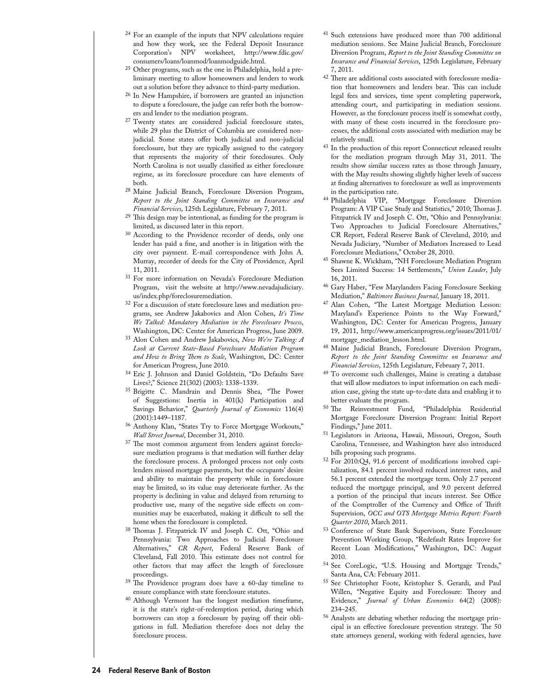- <sup>24</sup> For an example of the inputs that NPV calculations require and how they work, see the Federal Deposit Insurance Corporation's NPV worksheet, http://www.fdic.gov/
- $25$  Other programs, such as the one in Philadelphia, hold a preliminary meeting to allow homeowners and lenders to work out a solution before they advance to third-party mediation.
- <sup>26</sup> In New Hampshire, if borrowers are granted an injunction to dispute a foreclosure, the judge can refer both the borrowers and lender to the mediation program.
- <sup>27</sup> Twenty states are considered judicial foreclosure states, while 29 plus the District of Columbia are considered nonjudicial. Some states offer both judicial and non-judicial foreclosure, but they are typically assigned to the category that represents the majority of their foreclosures. Only North Carolina is not usually classified as either foreclosure regime, as its foreclosure procedure can have elements of both.
- <sup>28</sup> Maine Judicial Branch, Foreclosure Diversion Program, *Report to the Joint Standing Committee on Insurance and Financial Services*, 125th Legislature, February 7, 2011.
- <sup>29</sup> This design may be intentional, as funding for the program is limited, as discussed later in this report.
- <sup>30</sup> According to the Providence recorder of deeds, only one lender has paid a fine, and another is in litigation with the city over payment. E-mail correspondence with John A. Murray, recorder of deeds for the City of Providence, April 11, 2011.
- <sup>31</sup> For more information on Nevada's Foreclosure Mediation Program, visit the website at http://www.nevadajudiciary. us/index.php/foreclosuremediation.
- <sup>32</sup> For a discussion of state foreclosure laws and mediation programs, see Andrew Jakabovics and Alon Cohen, *It's Time We Talked: Mandatory Mediation in the Foreclosure Process*, Washington, DC: Center for American Progress, June 2009.
- <sup>33</sup> Alon Cohen and Andrew Jakabovics, *Now We're Talking: A Look at Current State-Based Foreclosure Mediation Program and How to Bring Them to Scale*, Washington, DC: Center
- <sup>34</sup> Eric J. Johnson and Daniel Goldstein, "Do Defaults Save Lives?," Science 21(302) (2003): 1338–1339.
- <sup>35</sup> Brigitte C. Mandrain and Dennis Shea, "The Power of Suggestions: Inertia in 401(k) Participation and Savings Behavior," *Quarterly Journal of Economics* 116(4) (2001):1449–1187.
- <sup>36</sup> Anthony Klan, "States Try to Force Mortgage Workouts," *Wall Street Journal*, December 31, 2010.
- <sup>37</sup> The most common argument from lenders against foreclosure mediation programs is that mediation will further delay the foreclosure process. A prolonged process not only costs lenders missed mortgage payments, but the occupants' desire and ability to maintain the property while in foreclosure may be limited, so its value may deteriorate further. As the property is declining in value and delayed from returning to productive use, many of the negative side effects on communities may be exacerbated, making it difficult to sell the home when the foreclosure is completed. 38 Thomas J. Fitzpatrick IV and Joseph C. Ott, "Ohio and
- Pennsylvania: Two Approaches to Judicial Foreclosure Alternatives," *CR Report*, Federal Reserve Bank of Cleveland, Fall 2010. This estimate does not control for other factors that may affect the length of foreclosure proceedings.
- <sup>39</sup> The Providence program does have a 60-day timeline to ensure compliance with state foreclosure statutes.
- <sup>40</sup> Although Vermont has the longest mediation timeframe, it is the state's right-of-redemption period, during which borrowers can stop a foreclosure by paying off their obligations in full. Mediation therefore does not delay the foreclosure process.
- <sup>41</sup> Such extensions have produced more than 700 additional mediation sessions. See Maine Judicial Branch, Foreclosure Diversion Program, *Report to the Joint Standing Committee on Insurance and Financial Services*, 125th Legislature, February 7, 2011.
- <sup>42</sup> There are additional costs associated with foreclosure mediation that homeowners and lenders bear. This can include legal fees and services, time spent completing paperwork, attending court, and participating in mediation sessions. However, as the foreclosure process itself is somewhat costly, with many of these costs incurred in the foreclosure processes, the additional costs associated with mediation may be relatively small.
- $^{43}$  In the production of this report Connecticut released results for the mediation program through May 31, 2011. The results show similar success rates as those through January, with the May results showing slightly higher levels of success at finding alternatives to foreclosure as well as improvements in the participation rate.
- <sup>44</sup> Philadelphia VIP, "Mortgage Foreclosure Diversion Program: A VIP Case Study and Statistics," 2010; Thomas J. Fitzpatrick IV and Joseph C. Ott, "Ohio and Pennsylvania: Two Approaches to Judicial Foreclosure Alternatives," CR Report, Federal Reserve Bank of Cleveland, 2010; and Nevada Judiciary, "Number of Mediators Increased to Lead
- <sup>45</sup> Shawne K. Wickham, "NH Foreclosure Mediation Program Sees Limited Success: 14 Settlements," *Union Leader*, July 16, 2011.
- <sup>46</sup> Gary Haber, "Few Marylanders Facing Foreclosure Seeking Mediation," *Baltimore Business Journal*, January 18, 2011.
- <sup>47</sup> Alan Cohen, "The Latest Mortgage Mediation Lesson: Maryland's Experience Points to the Way Forward," Washington, DC: Center for American Progress, January 19, 2011, http://www.americanprogress.org/issues/2011/01/ mortgage\_mediation\_lesson.html.
- <sup>48</sup> Maine Judicial Branch, Foreclosure Diversion Program, *Report to the Joint Standing Committee on Insurance and Financial Services*, 125th Legislature, February 7, 2011.
- <sup>49</sup> To overcome such challenges, Maine is creating a database that will allow mediators to input information on each mediation case, giving the state up-to-date data and enabling it to better evaluate the program.
- <sup>50</sup> The Reinvestment Fund, "Philadelphia Residential Mortgage Foreclosure Diversion Program: Initial Report Findings," June 2011.
- <sup>51</sup> Legislators in Arizona, Hawaii, Missouri, Oregon, South Carolina, Tennessee, and Washington have also introduced bills proposing such programs.
- <sup>52</sup> For 2010:Q4, 91.6 percent of modifications involved capitalization, 84.1 percent involved reduced interest rates, and 56.1 percent extended the mortgage term. Only 2.7 percent reduced the mortgage principal, and 9.0 percent deferred a portion of the principal that incurs interest. See Office of the Comptroller of the Currency and Office of Thrift Supervision, *OCC and OTS Mortgage Metrics Report: Fourth Quarter 2010*, March 2011.
- <sup>53</sup> Conference of State Bank Supervisors, State Foreclosure Prevention Working Group, "Redefault Rates Improve for Recent Loan Modifications," Washington, DC: August 2010.
- <sup>54</sup> See CoreLogic, "U.S. Housing and Mortgage Trends," Santa Ana, CA: February 2011.
- <sup>55</sup> See Christopher Foote, Kristopher S. Gerardi, and Paul Willen, "Negative Equity and Foreclosure: Theory and Evidence," *Journal of Urban Economics* 64(2) (2008): 234–245.
- <sup>56</sup> Analysts are debating whether reducing the mortgage principal is an effective foreclosure prevention strategy. The 50 state attorneys general, working with federal agencies, have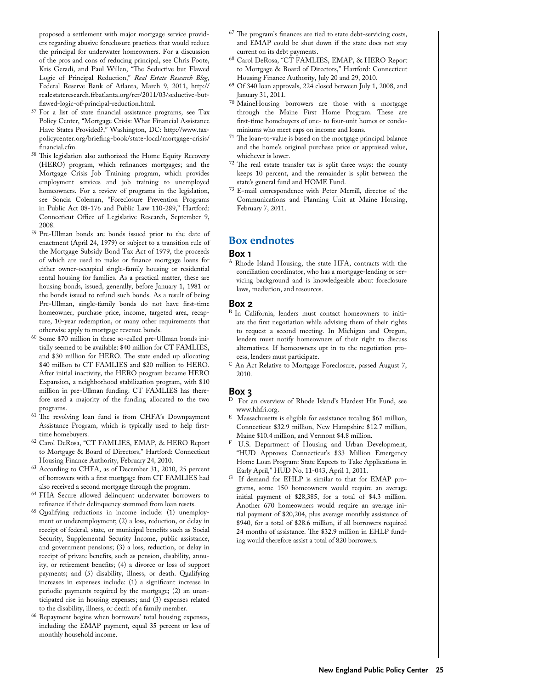proposed a settlement with major mortgage service providers regarding abusive foreclosure practices that would reduce the principal for underwater homeowners. For a discussion of the pros and cons of reducing principal, see Chris Foote, Kris Geradi, and Paul Willen, "The Seductive but Flawed Logic of Principal Reduction," *Real Estate Research Blog*, Federal Reserve Bank of Atlanta, March 9, 2011, http:// realestateresearch.frbatlanta.org/rer/2011/03/seductive-but-

- <sup>57</sup> For a list of state financial assistance programs, see Tax Policy Center, "Mortgage Crisis: What Financial Assistance Have States Provided?," Washington, DC: http://www.taxpolicycenter.org/briefing-book/state-local/mortgage-crisis/ financial.cfm.
- <sup>58</sup> This legislation also authorized the Home Equity Recovery (HERO) program, which refinances mortgages; and the Mortgage Crisis Job Training program, which provides employment services and job training to unemployed homeowners. For a review of programs in the legislation, see Soncia Coleman, "Foreclosure Prevention Programs in Public Act 08-176 and Public Law 110-289," Hartford: Connecticut Office of Legislative Research, September 9, 2008.
- <sup>59</sup> Pre-Ullman bonds are bonds issued prior to the date of enactment (April 24, 1979) or subject to a transition rule of the Mortgage Subsidy Bond Tax Act of 1979, the proceeds of which are used to make or finance mortgage loans for either owner-occupied single-family housing or residential rental housing for families. As a practical matter, these are housing bonds, issued, generally, before January 1, 1981 or the bonds issued to refund such bonds. As a result of being Pre-Ullman, single-family bonds do not have first-time homeowner, purchase price, income, targeted area, recapture, 10-year redemption, or many other requirements that otherwise apply to mortgage revenue bonds.
- <sup>60</sup> Some \$70 million in these so-called pre-Ullman bonds initially seemed to be available: \$40 million for CT FAMLIES, and \$30 million for HERO. The state ended up allocating \$40 million to CT FAMLIES and \$20 million to HERO. After initial inactivity, the HERO program became HERO Expansion, a neighborhood stabilization program, with \$10 million in pre-Ullman funding. CT FAMLIES has therefore used a majority of the funding allocated to the two programs.
- <sup>61</sup> The revolving loan fund is from CHFA's Downpayment Assistance Program, which is typically used to help firsttime homebuyers.
- <sup>62</sup> Carol DeRosa, "CT FAMLIES, EMAP, & HERO Report to Mortgage & Board of Directors," Hartford: Connecticut Housing Finance Authority, February 24, 2010.
- <sup>63</sup> According to CHFA, as of December 31, 2010, 25 percent of borrowers with a first mortgage from CT FAMLIES had also received a second mortgage through the program.
- <sup>64</sup> FHA Secure allowed delinquent underwater borrowers to refinance if their delinquency stemmed from loan resets.
- <sup>65</sup> Qualifying reductions in income include: (1) unemployment or underemployment; (2) a loss, reduction, or delay in receipt of federal, state, or municipal benefits such as Social Security, Supplemental Security Income, public assistance, and government pensions; (3) a loss, reduction, or delay in receipt of private benefits, such as pension, disability, annuity, or retirement benefits; (4) a divorce or loss of support payments; and (5) disability, illness, or death. Qualifying increases in expenses include: (1) a significant increase in periodic payments required by the mortgage; (2) an unanticipated rise in housing expenses; and (3) expenses related to the disability, illness, or death of a family member.
- <sup>66</sup> Repayment begins when borrowers' total housing expenses, including the EMAP payment, equal 35 percent or less of monthly household income.
- <sup>67</sup> The program's finances are tied to state debt-servicing costs, and EMAP could be shut down if the state does not stay current on its debt payments.
- <sup>68</sup> Carol DeRosa, "CT FAMLIES, EMAP, & HERO Report to Mortgage & Board of Directors," Hartford: Connecticut Housing Finance Authority, July 20 and 29, 2010.
- <sup>69</sup> Of 340 loan approvals, 224 closed between July 1, 2008, and January 31, 2011.
- <sup>70</sup> MaineHousing borrowers are those with a mortgage through the Maine First Home Program. These are first-time homebuyers of one- to four-unit homes or condominiums who meet caps on income and loans.
- <sup>71</sup> The loan-to-value is based on the mortgage principal balance and the home's original purchase price or appraised value,
- $72$  The real estate transfer tax is split three ways: the county keeps 10 percent, and the remainder is split between the state's general fund and HOME Fund.
- <sup>73</sup> E-mail correspondence with Peter Merrill, director of the Communications and Planning Unit at Maine Housing, February 7, 2011.

#### **Box endnotes**

#### **Box 1**

<sup>A</sup> Rhode Island Housing, the state HFA, contracts with the conciliation coordinator, who has a mortgage-lending or servicing background and is knowledgeable about foreclosure laws, mediation, and resources.

#### **Box 2**

- <sup>B</sup> In California, lenders must contact homeowners to initiate the first negotiation while advising them of their rights to request a second meeting. In Michigan and Oregon, lenders must notify homeowners of their right to discuss alternatives. If homeowners opt in to the negotiation process, lenders must participate.
- <sup>C</sup> An Act Relative to Mortgage Foreclosure, passed August 7, 2010.

#### **Box 3**

- For an overview of Rhode Island's Hardest Hit Fund, see www.hhfri.org.
- E Massachusetts is eligible for assistance totaling \$61 million, Connecticut \$32.9 million, New Hampshire \$12.7 million, Maine \$10.4 million, and Vermont \$4.8 million.
- F U.S. Department of Housing and Urban Development, "HUD Approves Connecticut's \$33 Million Emergency Home Loan Program: State Expects to Take Applications in Early April," HUD No. 11-043, April 1, 2011.
- G If demand for EHLP is similar to that for EMAP programs, some 150 homeowners would require an average initial payment of \$28,385, for a total of \$4.3 million. Another 670 homeowners would require an average initial payment of \$20,204, plus average monthly assistance of \$940, for a total of \$28.6 million, if all borrowers required 24 months of assistance. The \$32.9 million in EHLP funding would therefore assist a total of 820 borrowers.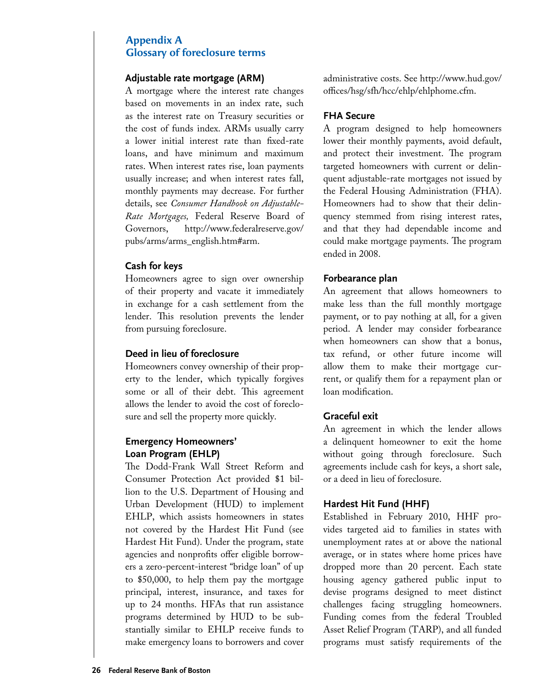# **Appendix A Glossary of foreclosure terms**

#### **Adjustable rate mortgage (ARM)**

A mortgage where the interest rate changes based on movements in an index rate, such as the interest rate on Treasury securities or the cost of funds index. ARMs usually carry a lower initial interest rate than fixed-rate loans, and have minimum and maximum rates. When interest rates rise, loan payments usually increase; and when interest rates fall, monthly payments may decrease. For further details, see *Consumer Handbook on Adjustable-Rate Mortgages,* Federal Reserve Board of Governors, http://www.federalreserve.gov/ pubs/arms/arms\_english.htm#arm.

#### **Cash for keys**

Homeowners agree to sign over ownership of their property and vacate it immediately in exchange for a cash settlement from the lender. This resolution prevents the lender from pursuing foreclosure.

#### **Deed in lieu of foreclosure**

Homeowners convey ownership of their property to the lender, which typically forgives some or all of their debt. This agreement allows the lender to avoid the cost of foreclosure and sell the property more quickly.

# **Emergency Homeowners' Loan Program (EHLP)**

The Dodd-Frank Wall Street Reform and Consumer Protection Act provided \$1 billion to the U.S. Department of Housing and Urban Development (HUD) to implement EHLP, which assists homeowners in states not covered by the Hardest Hit Fund (see Hardest Hit Fund). Under the program, state agencies and nonprofits offer eligible borrowers a zero-percent-interest "bridge loan" of up to \$50,000, to help them pay the mortgage principal, interest, insurance, and taxes for up to 24 months. HFAs that run assistance programs determined by HUD to be substantially similar to EHLP receive funds to make emergency loans to borrowers and cover administrative costs. See http://www.hud.gov/ offices/hsg/sfh/hcc/ehlp/ehlphome.cfm.

#### **FHA Secure**

A program designed to help homeowners lower their monthly payments, avoid default, and protect their investment. The program targeted homeowners with current or delinquent adjustable-rate mortgages not issued by the Federal Housing Administration (FHA). Homeowners had to show that their delinquency stemmed from rising interest rates, and that they had dependable income and could make mortgage payments. The program ended in 2008.

#### **Forbearance plan**

An agreement that allows homeowners to make less than the full monthly mortgage payment, or to pay nothing at all, for a given period. A lender may consider forbearance when homeowners can show that a bonus, tax refund, or other future income will allow them to make their mortgage current, or qualify them for a repayment plan or loan modification.

#### **Graceful exit**

An agreement in which the lender allows a delinquent homeowner to exit the home without going through foreclosure. Such agreements include cash for keys, a short sale, or a deed in lieu of foreclosure.

#### **Hardest Hit Fund (HHF)**

Established in February 2010, HHF provides targeted aid to families in states with unemployment rates at or above the national average, or in states where home prices have dropped more than 20 percent. Each state housing agency gathered public input to devise programs designed to meet distinct challenges facing struggling homeowners. Funding comes from the federal Troubled Asset Relief Program (TARP), and all funded programs must satisfy requirements of the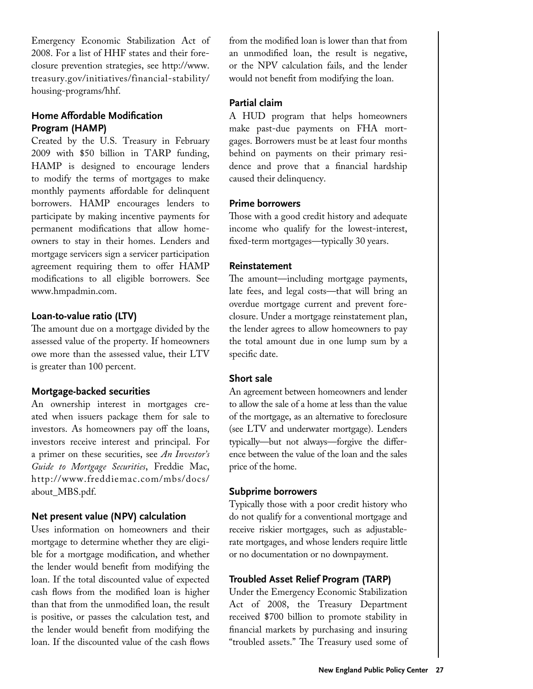Emergency Economic Stabilization Act of 2008. For a list of HHF states and their foreclosure prevention strategies, see http://www. treasury.gov/initiatives/financial-stability/ housing-programs/hhf.

# **Home Affordable Modification Program (HAMP)**

Created by the U.S. Treasury in February 2009 with \$50 billion in TARP funding, HAMP is designed to encourage lenders to modify the terms of mortgages to make monthly payments affordable for delinquent borrowers. HAMP encourages lenders to participate by making incentive payments for permanent modifications that allow homeowners to stay in their homes. Lenders and mortgage servicers sign a servicer participation agreement requiring them to offer HAMP modifications to all eligible borrowers. See www.hmpadmin.com.

# **Loan-to-value ratio (LTV)**

The amount due on a mortgage divided by the assessed value of the property. If homeowners owe more than the assessed value, their LTV is greater than 100 percent.

# **Mortgage-backed securities**

An ownership interest in mortgages created when issuers package them for sale to investors. As homeowners pay off the loans, investors receive interest and principal. For a primer on these securities, see *An Investor's Guide to Mortgage Securities*, Freddie Mac, http://www.freddiemac.com/mbs/docs/ about\_MBS.pdf.

#### **Net present value (NPV) calculation**

Uses information on homeowners and their mortgage to determine whether they are eligible for a mortgage modification, and whether the lender would benefit from modifying the loan. If the total discounted value of expected cash flows from the modified loan is higher than that from the unmodified loan, the result is positive, or passes the calculation test, and the lender would benefit from modifying the loan. If the discounted value of the cash flows

from the modified loan is lower than that from an unmodified loan, the result is negative, or the NPV calculation fails, and the lender would not benefit from modifying the loan.

# **Partial claim**

A HUD program that helps homeowners make past-due payments on FHA mortgages. Borrowers must be at least four months behind on payments on their primary residence and prove that a financial hardship caused their delinquency.

#### **Prime borrowers**

Those with a good credit history and adequate income who qualify for the lowest-interest, fixed-term mortgages—typically 30 years.

# **Reinstatement**

The amount—including mortgage payments, late fees, and legal costs—that will bring an overdue mortgage current and prevent foreclosure. Under a mortgage reinstatement plan, the lender agrees to allow homeowners to pay the total amount due in one lump sum by a specific date.

# **Short sale**

An agreement between homeowners and lender to allow the sale of a home at less than the value of the mortgage, as an alternative to foreclosure (see LTV and underwater mortgage). Lenders typically—but not always—forgive the difference between the value of the loan and the sales price of the home.

# **Subprime borrowers**

Typically those with a poor credit history who do not qualify for a conventional mortgage and receive riskier mortgages, such as adjustablerate mortgages, and whose lenders require little or no documentation or no downpayment.

# **Troubled Asset Relief Program (TARP)**

Under the Emergency Economic Stabilization Act of 2008, the Treasury Department received \$700 billion to promote stability in financial markets by purchasing and insuring "troubled assets." The Treasury used some of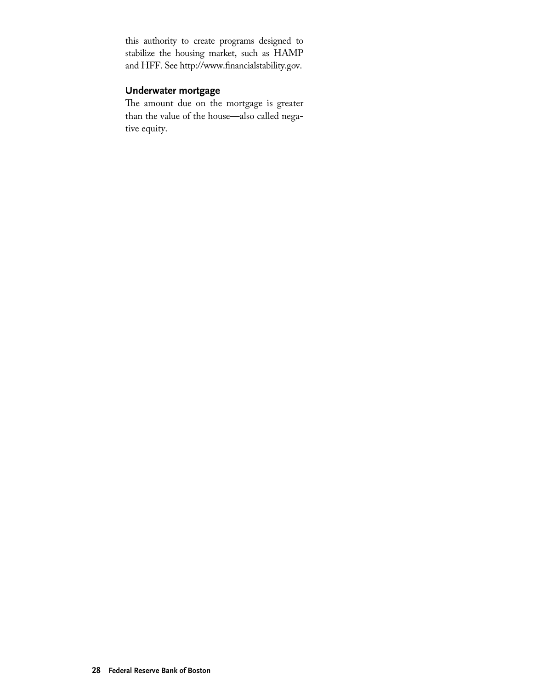this authority to create programs designed to stabilize the housing market, such as HAMP and HFF. See http://www.financialstability.gov.

# **Underwater mortgage**

The amount due on the mortgage is greater than the value of the house—also called negative equity.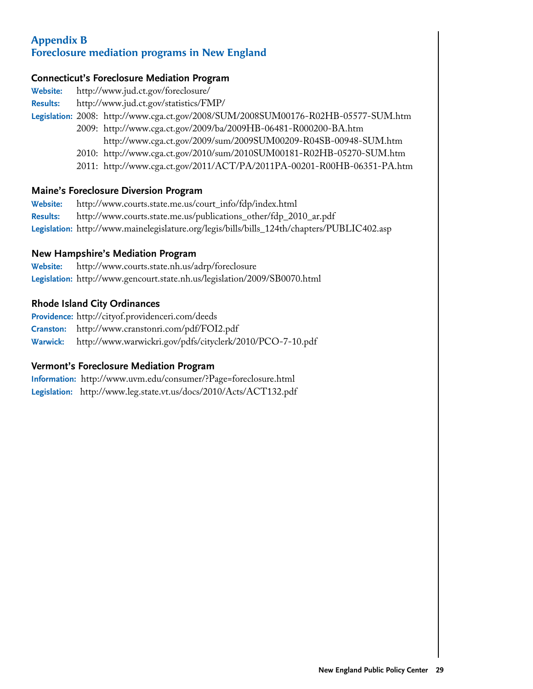# **Appendix B Foreclosure mediation programs in New England**

# **Connecticut's Foreclosure Mediation Program**

| <b>Website:</b> | http://www.jud.ct.gov/foreclosure/                                                 |
|-----------------|------------------------------------------------------------------------------------|
| <b>Results:</b> | http://www.jud.ct.gov/statistics/FMP/                                              |
|                 | Legislation: 2008: http://www.cga.ct.gov/2008/SUM/2008SUM00176-R02HB-05577-SUM.htm |
|                 | 2009: http://www.cga.ct.gov/2009/ba/2009HB-06481-R000200-BA.htm                    |
|                 | http://www.cga.ct.gov/2009/sum/2009SUM00209-R04SB-00948-SUM.htm                    |
|                 | 2010: http://www.cga.ct.gov/2010/sum/2010SUM00181-R02HB-05270-SUM.htm              |
|                 | 2011: http://www.cga.ct.gov/2011/ACT/PA/2011PA-00201-R00HB-06351-PA.htm            |
|                 |                                                                                    |

# **Maine's Foreclosure Diversion Program**

| <b>Website:</b> | http://www.courts.state.me.us/court_info/fdp/index.html                                     |
|-----------------|---------------------------------------------------------------------------------------------|
| <b>Results:</b> | http://www.courts.state.me.us/publications_other/fdp_2010_ar.pdf                            |
|                 | Legislation: http://www.mainelegislature.org/legis/bills/bills_124th/chapters/PUBLIC402.asp |

# **New Hampshire's Mediation Program**

| <b>Website:</b> | http://www.courts.state.nh.us/adrp/foreclosure                            |
|-----------------|---------------------------------------------------------------------------|
|                 | Legislation: http://www.gencourt.state.nh.us/legislation/2009/SB0070.html |

# **Rhode Island City Ordinances**

**Providence:** http://cityof.providenceri.com/deeds

**Cranston:** http://www.cranstonri.com/pdf/FOI2.pdf

**Warwick:** http://www.warwickri.gov/pdfs/cityclerk/2010/PCO-7-10.pdf

# **Vermont's Foreclosure Mediation Program**

| Information: http://www.uvm.edu/consumer/?Page=foreclosure.html   |
|-------------------------------------------------------------------|
| Legislation: http://www.leg.state.vt.us/docs/2010/Acts/ACT132.pdf |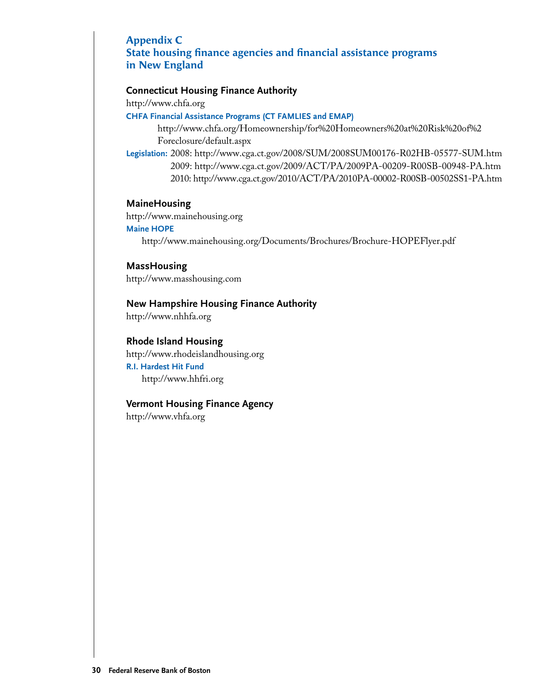# **Appendix C**

**State housing finance agencies and financial assistance programs in New England**

#### **Connecticut Housing Finance Authority**

http://www.chfa.org

#### **CHFA Financial Assistance Programs (CT FAMLIES and EMAP)**

http://www.chfa.org/Homeownership/for%20Homeowners%20at%20Risk%20of%2 Foreclosure/default.aspx

**Legislation:** 2008: http://www.cga.ct.gov/2008/SUM/2008SUM00176-R02HB-05577-SUM.htm 2009: http://www.cga.ct.gov/2009/ACT/PA/2009PA-00209-R00SB-00948-PA.htm 2010: http://www.cga.ct.gov/2010/ACT/PA/2010PA-00002-R00SB-00502SS1-PA.htm

#### **MaineHousing**

http://www.mainehousing.org

#### **Maine HOPE**

http://www.mainehousing.org/Documents/Brochures/Brochure-HOPEFlyer.pdf

**MassHousing**  http://www.masshousing.com

#### **New Hampshire Housing Finance Authority**

http://www.nhhfa.org

#### **Rhode Island Housing**

http://www.rhodeislandhousing.org **R.I. Hardest Hit Fund**  http://www.hhfri.org

#### **Vermont Housing Finance Agency**

http://www.vhfa.org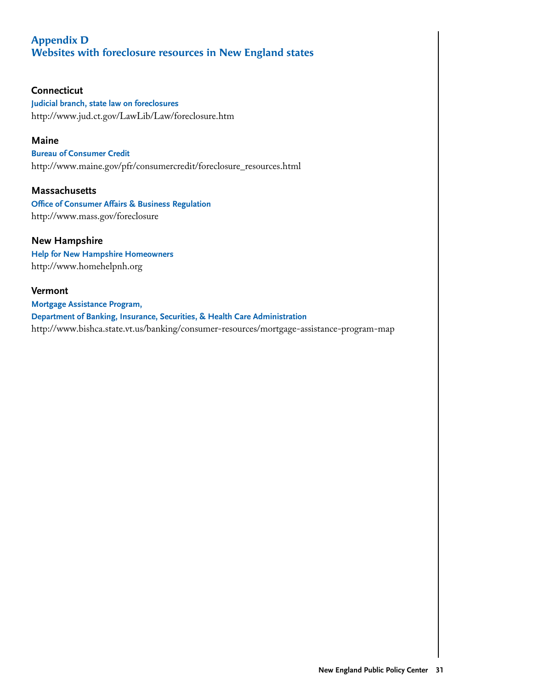# **Appendix D Websites with foreclosure resources in New England states**

# **Connecticut**

**Judicial branch, state law on foreclosures** http://www.jud.ct.gov/LawLib/Law/foreclosure.htm

#### **Maine**

**Bureau of Consumer Credit** http://www.maine.gov/pfr/consumercredit/foreclosure\_resources.html

# **Massachusetts**

**Office of Consumer Affairs & Business Regulation** http://www.mass.gov/foreclosure

# **New Hampshire**

**Help for New Hampshire Homeowners** http://www.homehelpnh.org

# **Vermont**

**Mortgage Assistance Program, Department of Banking, Insurance, Securities, & Health Care Administration** http://www.bishca.state.vt.us/banking/consumer-resources/mortgage-assistance-program-map